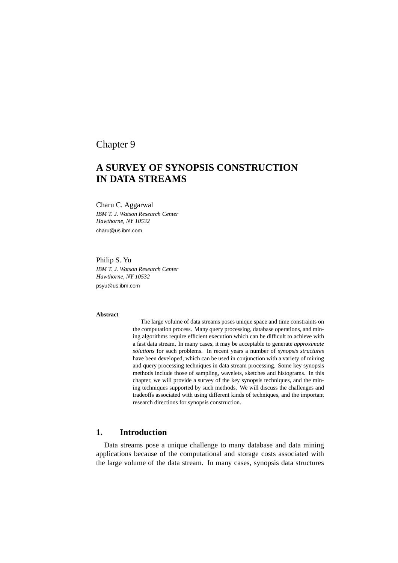## Chapter 9

# **A SURVEY OF SYNOPSIS CONSTRUCTION IN DATA STREAMS**

Charu C. Aggarwal *IBM T. J. Watson Research Center Hawthorne, NY 10532* charu@us.ibm.com

Philip S. Yu *IBM T. J. Watson Research Center Hawthorne, NY 10532* psyu@us.ibm.com

#### **Abstract**

The large volume of data streams poses unique space and time constraints on the computation process. Many query processing, database operations, and mining algorithms require efficient execution which can be difficult to achieve with a fast data stream. In many cases, it may be acceptable to generate *approximate solutions* for such problems. In recent years a number of *synopsis structures* have been developed, which can be used in conjunction with a variety of mining and query processing techniques in data stream processing. Some key synopsis methods include those of sampling, wavelets, sketches and histograms. In this chapter, we will provide a survey of the key synopsis techniques, and the mining techniques supported by such methods. We will discuss the challenges and tradeoffs associated with using different kinds of techniques, and the important research directions for synopsis construction.

## **1. Introduction**

Data streams pose a unique challenge to many database and data mining applications because of the computational and storage costs associated with the large volume of the data stream. In many cases, synopsis data structures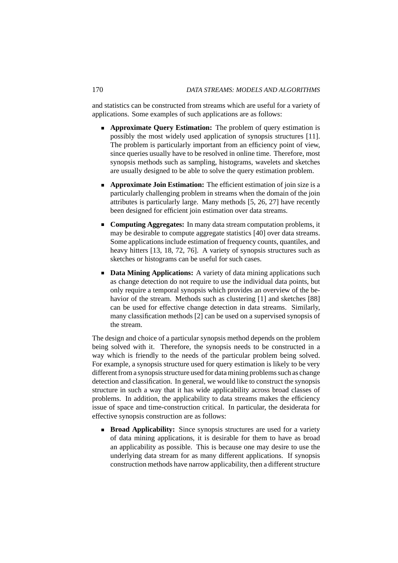and statistics can be constructed from streams which are useful for a variety of applications. Some examples of such applications are as follows:

- **Approximate Query Estimation:** The problem of query estimation is possibly the most widely used application of synopsis structures [11]. The problem is particularly important from an efficiency point of view, since queries usually have to be resolved in online time. Therefore, most synopsis methods such as sampling, histograms, wavelets and sketches are usually designed to be able to solve the query estimation problem.
- **Approximate Join Estimation:** The efficient estimation of join size is a particularly challenging problem in streams when the domain of the join attributes is particularly large. Many methods [5, 26, 27] have recently been designed for efficient join estimation over data streams.
- **Computing Aggregates:** In many data stream computation problems, it may be desirable to compute aggregate statistics [40] over data streams. Some applications include estimation of frequency counts, quantiles, and heavy hitters [13, 18, 72, 76]. A variety of synopsis structures such as sketches or histograms can be useful for such cases.
- **Data Mining Applications:** A variety of data mining applications such as change detection do not require to use the individual data points, but only require a temporal synopsis which provides an overview of the behavior of the stream. Methods such as clustering [1] and sketches [88] can be used for effective change detection in data streams. Similarly, many classification methods [2] can be used on a supervised synopsis of the stream.

The design and choice of a particular synopsis method depends on the problem being solved with it. Therefore, the synopsis needs to be constructed in a way which is friendly to the needs of the particular problem being solved. For example, a synopsis structure used for query estimation is likely to be very different from a synopsis structure used for data mining problems such as change detection and classification. In general, we would like to construct the synopsis structure in such a way that it has wide applicability across broad classes of problems. In addition, the applicability to data streams makes the efficiency issue of space and time-construction critical. In particular, the desiderata for effective synopsis construction are as follows:

**Broad Applicability:** Since synopsis structures are used for a variety of data mining applications, it is desirable for them to have as broad an applicability as possible. This is because one may desire to use the underlying data stream for as many different applications. If synopsis construction methods have narrow applicability, then a different structure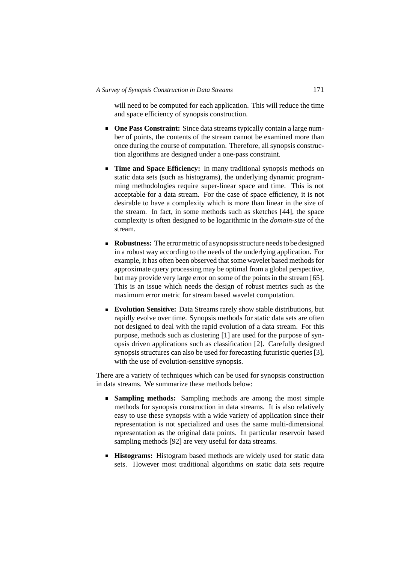will need to be computed for each application. This will reduce the time and space efficiency of synopsis construction.

- **One Pass Constraint:** Since data streams typically contain a large number of points, the contents of the stream cannot be examined more than once during the course of computation. Therefore, all synopsis construction algorithms are designed under a one-pass constraint.
- **Time and Space Efficiency:** In many traditional synopsis methods on static data sets (such as histograms), the underlying dynamic programming methodologies require super-linear space and time. This is not acceptable for a data stream. For the case of space efficiency, it is not desirable to have a complexity which is more than linear in the size of the stream. In fact, in some methods such as sketches [44], the space complexity is often designed to be logarithmic in the *domain-size* of the stream.
- **Robustness:** The error metric of a synopsis structure needs to be designed in a robust way according to the needs of the underlying application. For example, it has often been observed that some wavelet based methods for approximate query processing may be optimal from a global perspective, but may provide very large error on some of the points in the stream [65]. This is an issue which needs the design of robust metrics such as the maximum error metric for stream based wavelet computation.
- **Evolution Sensitive:** Data Streams rarely show stable distributions, but rapidly evolve over time. Synopsis methods for static data sets are often not designed to deal with the rapid evolution of a data stream. For this purpose, methods such as clustering [1] are used for the purpose of synopsis driven applications such as classification [2]. Carefully designed synopsis structures can also be used for forecasting futuristic queries [3], with the use of evolution-sensitive synopsis.

There are a variety of techniques which can be used for synopsis construction in data streams. We summarize these methods below:

- **Sampling methods:** Sampling methods are among the most simple methods for synopsis construction in data streams. It is also relatively easy to use these synopsis with a wide variety of application since their representation is not specialized and uses the same multi-dimensional representation as the original data points. In particular reservoir based sampling methods [92] are very useful for data streams.
- **Histograms:** Histogram based methods are widely used for static data sets. However most traditional algorithms on static data sets require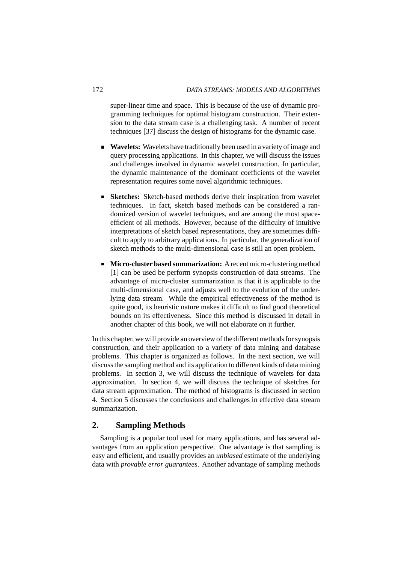super-linear time and space. This is because of the use of dynamic programming techniques for optimal histogram construction. Their extension to the data stream case is a challenging task. A number of recent techniques [37] discuss the design of histograms for the dynamic case.

- **Wavelets:** Wavelets have traditionally been used in a variety of image and query processing applications. In this chapter, we will discuss the issues and challenges involved in dynamic wavelet construction. In particular, the dynamic maintenance of the dominant coefficients of the wavelet representation requires some novel algorithmic techniques.
- **Sketches:** Sketch-based methods derive their inspiration from wavelet techniques. In fact, sketch based methods can be considered a randomized version of wavelet techniques, and are among the most spaceefficient of all methods. However, because of the difficulty of intuitive interpretations of sketch based representations, they are sometimes difficult to apply to arbitrary applications. In particular, the generalization of sketch methods to the multi-dimensional case is still an open problem.
- **Micro-cluster based summarization:** A recent micro-clustering method [1] can be used be perform synopsis construction of data streams. The advantage of micro-cluster summarization is that it is applicable to the multi-dimensional case, and adjusts well to the evolution of the underlying data stream. While the empirical effectiveness of the method is quite good, its heuristic nature makes it difficult to find good theoretical bounds on its effectiveness. Since this method is discussed in detail in another chapter of this book, we will not elaborate on it further.

In this chapter, we will provide an overview of the different methods for synopsis construction, and their application to a variety of data mining and database problems. This chapter is organized as follows. In the next section, we will discuss the sampling method and its application to different kinds of data mining problems. In section 3, we will discuss the technique of wavelets for data approximation. In section 4, we will discuss the technique of sketches for data stream approximation. The method of histograms is discussed in section 4. Section 5 discusses the conclusions and challenges in effective data stream summarization.

## **2. Sampling Methods**

Sampling is a popular tool used for many applications, and has several advantages from an application perspective. One advantage is that sampling is easy and efficient, and usually provides an *unbiased* estimate of the underlying data with *provable error guarantees*. Another advantage of sampling methods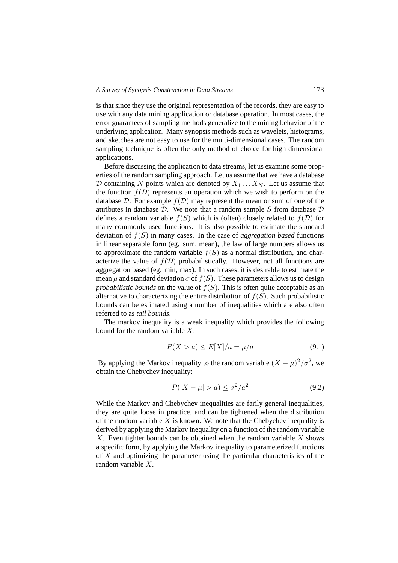is that since they use the original representation of the records, they are easy to use with any data mining application or database operation. In most cases, the error guarantees of sampling methods generalize to the mining behavior of the underlying application. Many synopsis methods such as wavelets, histograms, and sketches are not easy to use for the multi-dimensional cases. The random sampling technique is often the only method of choice for high dimensional applications.

Before discussing the application to data streams, let us examine some properties of the random sampling approach. Let us assume that we have a database D containing N points which are denoted by  $X_1 \ldots X_N$ . Let us assume that the function  $f(D)$  represents an operation which we wish to perform on the database D. For example  $f(D)$  may represent the mean or sum of one of the attributes in database  $D$ . We note that a random sample S from database  $D$ defines a random variable  $f(S)$  which is (often) closely related to  $f(D)$  for many commonly used functions. It is also possible to estimate the standard deviation of f(S) in many cases. In the case of *aggregation based* functions in linear separable form (eg. sum, mean), the law of large numbers allows us to approximate the random variable  $f(S)$  as a normal distribution, and characterize the value of  $f(D)$  probabilistically. However, not all functions are aggregation based (eg. min, max). In such cases, it is desirable to estimate the mean  $\mu$  and standard deviation  $\sigma$  of  $f(S)$ . These parameters allows us to design *probabilistic bounds* on the value of  $f(S)$ . This is often quite acceptable as an alternative to characterizing the entire distribution of  $f(S)$ . Such probabilistic bounds can be estimated using a number of inequalities which are also often referred to as *tail bounds*.

The markov inequality is a weak inequality which provides the following bound for the random variable  $X$ :

$$
P(X > a) \le E[X]/a = \mu/a \tag{9.1}
$$

By applying the Markov inequality to the random variable  $(X - \mu)^2 / \sigma^2$ , we obtain the Chebychev inequality:

$$
P(|X - \mu| > a) \le \sigma^2/a^2
$$
\n(9.2)

While the Markov and Chebychev inequalities are farily general inequalities, they are quite loose in practice, and can be tightened when the distribution of the random variable  $X$  is known. We note that the Chebychev inequality is derived by applying the Markov inequality on a function of the random variable  $X$ . Even tighter bounds can be obtained when the random variable  $X$  shows a specific form, by applying the Markov inequality to parameterized functions of X and optimizing the parameter using the particular characteristics of the random variable X.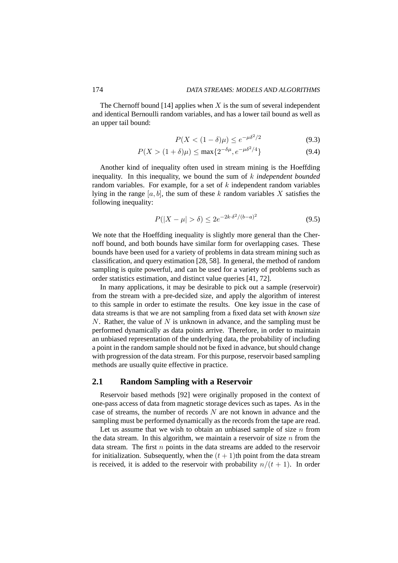The Chernoff bound [14] applies when  $X$  is the sum of several independent and identical Bernoulli random variables, and has a lower tail bound as well as an upper tail bound:

$$
P(X < (1 - \delta)\mu) \le e^{-\mu\delta^2/2} \tag{9.3}
$$

$$
P(X > (1 + \delta)\mu) \le \max\{2^{-\delta\mu}, e^{-\mu\delta^2/4}\}\tag{9.4}
$$

Another kind of inequality often used in stream mining is the Hoeffding inequality. In this inequality, we bound the sum of k *independent bounded* random variables. For example, for a set of  $k$  independent random variables lying in the range  $[a, b]$ , the sum of these k random variables X satisfies the following inequality:

$$
P(|X - \mu| > \delta) \le 2e^{-2k \cdot \delta^2 / (b - a)^2}
$$
\n(9.5)

We note that the Hoeffding inequality is slightly more general than the Chernoff bound, and both bounds have similar form for overlapping cases. These bounds have been used for a variety of problems in data stream mining such as classification, and query estimation [28, 58]. In general, the method of random sampling is quite powerful, and can be used for a variety of problems such as order statistics estimation, and distinct value queries [41, 72].

In many applications, it may be desirable to pick out a sample (reservoir) from the stream with a pre-decided size, and apply the algorithm of interest to this sample in order to estimate the results. One key issue in the case of data streams is that we are not sampling from a fixed data set with *known size*  $N$ . Rather, the value of  $N$  is unknown in advance, and the sampling must be performed dynamically as data points arrive. Therefore, in order to maintain an unbiased representation of the underlying data, the probability of including a point in the random sample should not be fixed in advance, but should change with progression of the data stream. For this purpose, reservoir based sampling methods are usually quite effective in practice.

## **2.1 Random Sampling with a Reservoir**

Reservoir based methods [92] were originally proposed in the context of one-pass access of data from magnetic storage devices such as tapes. As in the case of streams, the number of records  $N$  are not known in advance and the sampling must be performed dynamically as the records from the tape are read.

Let us assume that we wish to obtain an unbiased sample of size  $n$  from the data stream. In this algorithm, we maintain a reservoir of size  $n$  from the data stream. The first  $n$  points in the data streams are added to the reservoir for initialization. Subsequently, when the  $(t + 1)$ th point from the data stream is received, it is added to the reservoir with probability  $n/(t + 1)$ . In order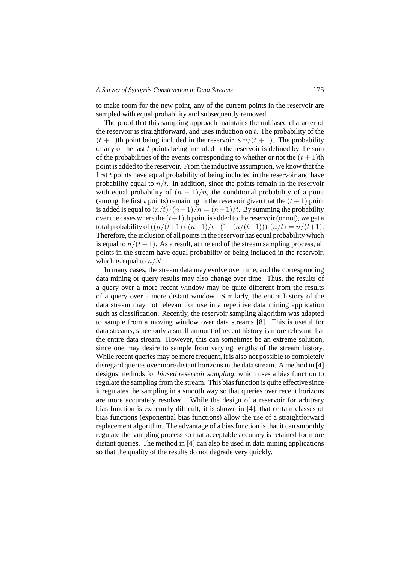to make room for the new point, any of the current points in the reservoir are sampled with equal probability and subsequently removed.

The proof that this sampling approach maintains the unbiased character of the reservoir is straightforward, and uses induction on  $t$ . The probability of the  $(t + 1)$ th point being included in the reservoir is  $n/(t + 1)$ . The probability of any of the last t points being included in the reservoir is defined by the sum of the probabilities of the events corresponding to whether or not the  $(t + 1)$ th point is added to the reservoir. From the inductive assumption, we know that the first t points have equal probability of being included in the reservoir and have probability equal to  $n/t$ . In addition, since the points remain in the reservoir with equal probability of  $(n - 1)/n$ , the conditional probability of a point (among the first t points) remaining in the reservoir given that the  $(t + 1)$  point is added is equal to  $(n/t) \cdot (n-1)/n = (n-1)/t$ . By summing the probability over the cases where the  $(t+1)$ th point is added to the reservoir (or not), we get a total probability of  $((n/(t+1))\cdot (n-1)/t+(1-(n/(t+1)))\cdot (n/t) = n/(t+1).$ Therefore, the inclusion of all points in the reservoir has equal probability which is equal to  $n/(t+1)$ . As a result, at the end of the stream sampling process, all points in the stream have equal probability of being included in the reservoir, which is equal to  $n/N$ .

In many cases, the stream data may evolve over time, and the corresponding data mining or query results may also change over time. Thus, the results of a query over a more recent window may be quite different from the results of a query over a more distant window. Similarly, the entire history of the data stream may not relevant for use in a repetitive data mining application such as classification. Recently, the reservoir sampling algorithm was adapted to sample from a moving window over data streams [8]. This is useful for data streams, since only a small amount of recent history is more relevant that the entire data stream. However, this can sometimes be an extreme solution, since one may desire to sample from varying lengths of the stream history. While recent queries may be more frequent, it is also not possible to completely disregard queries over more distant horizons in the data stream. A method in [4] designs methods for *biased reservoir sampling*, which uses a bias function to regulate the sampling from the stream. This bias function is quite effective since it regulates the sampling in a smooth way so that queries over recent horizons are more accurately resolved. While the design of a reservoir for arbitrary bias function is extremely difficult, it is shown in [4], that certain classes of bias functions (exponential bias functions) allow the use of a straightforward replacement algorithm. The advantage of a bias function is that it can smoothly regulate the sampling process so that acceptable accuracy is retained for more distant queries. The method in [4] can also be used in data mining applications so that the quality of the results do not degrade very quickly.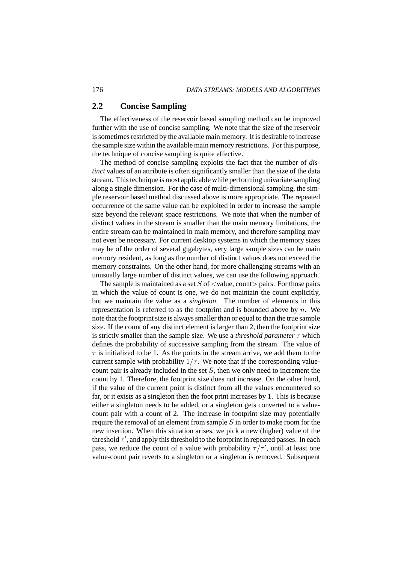## **2.2 Concise Sampling**

The effectiveness of the reservoir based sampling method can be improved further with the use of concise sampling. We note that the size of the reservoir is sometimes restricted by the available main memory. It is desirable to increase the sample size within the available main memory restrictions. For this purpose, the technique of concise sampling is quite effective.

The method of concise sampling exploits the fact that the number of *distinct* values of an attribute is often significantly smaller than the size of the data stream. This technique is most applicable while performing univariate sampling along a single dimension. For the case of multi-dimensional sampling, the simple reservoir based method discussed above is more appropriate. The repeated occurrence of the same value can be exploited in order to increase the sample size beyond the relevant space restrictions. We note that when the number of distinct values in the stream is smaller than the main memory limitations, the entire stream can be maintained in main memory, and therefore sampling may not even be necessary. For current desktop systems in which the memory sizes may be of the order of several gigabytes, very large sample sizes can be main memory resident, as long as the number of distinct values does not exceed the memory constraints. On the other hand, for more challenging streams with an unusually large number of distinct values, we can use the following approach.

The sample is maintained as a set  $S$  of  $\langle$  value, count $\rangle$  pairs. For those pairs in which the value of count is one, we do not maintain the count explicitly, but we maintain the value as a *singleton*. The number of elements in this representation is referred to as the footprint and is bounded above by  $n$ . We note that the footprint size is always smaller than or equal to than the true sample size. If the count of any distinct element is larger than 2, then the footprint size is strictly smaller than the sample size. We use a *threshold parameter*  $\tau$  which defines the probability of successive sampling from the stream. The value of  $\tau$  is initialized to be 1. As the points in the stream arrive, we add them to the current sample with probability  $1/\tau$ . We note that if the corresponding valuecount pair is already included in the set S, then we only need to increment the count by 1. Therefore, the footprint size does not increase. On the other hand, if the value of the current point is distinct from all the values encountered so far, or it exists as a singleton then the foot print increases by 1. This is because either a singleton needs to be added, or a singleton gets converted to a valuecount pair with a count of 2. The increase in footprint size may potentially require the removal of an element from sample S in order to make room for the new insertion. When this situation arises, we pick a new (higher) value of the threshold  $\tau'$ , and apply this threshold to the footprint in repeated passes. In each pass, we reduce the count of a value with probability  $\tau/\tau'$ , until at least one value-count pair reverts to a singleton or a singleton is removed. Subsequent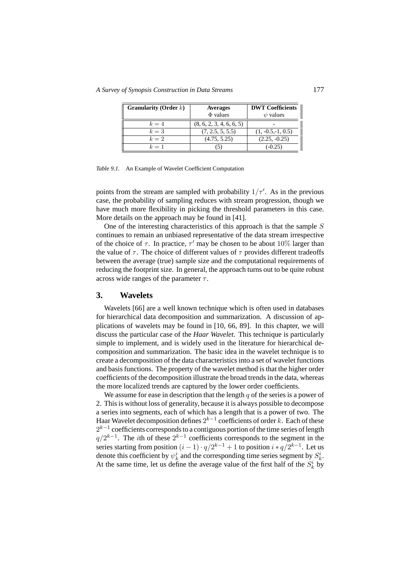*A Survey of Synopsis Construction in Data Streams* 177

| Granularity (Order $k$ ) | <b>Averages</b>          | <b>DWT Coefficients</b> |
|--------------------------|--------------------------|-------------------------|
|                          | $\Phi$ values            | $\psi$ values           |
| $k=4$                    | (8, 6, 2, 3, 4, 6, 6, 5) |                         |
| $k=3$                    | (7, 2.5, 5, 5.5)         | $(1, -0.5, -1, 0.5)$    |
| $k=2$                    | (4.75, 5.25)             | $(2.25, -0.25)$         |
| $k=1$                    | D.                       | $(-0.25)$               |

*Table 9.1.* An Example of Wavelet Coefficient Computation

points from the stream are sampled with probability  $1/\tau'$ . As in the previous case, the probability of sampling reduces with stream progression, though we have much more flexibility in picking the threshold parameters in this case. More details on the approach may be found in [41].

One of the interesting characteristics of this approach is that the sample  $S$ continues to remain an unbiased representative of the data stream irrespective of the choice of  $\tau$ . In practice,  $\tau'$  may be chosen to be about 10% larger than the value of  $\tau$ . The choice of different values of  $\tau$  provides different tradeoffs between the average (true) sample size and the computational requirements of reducing the footprint size. In general, the approach turns out to be quite robust across wide ranges of the parameter  $\tau$ .

#### **3. Wavelets**

Wavelets [66] are a well known technique which is often used in databases for hierarchical data decomposition and summarization. A discussion of applications of wavelets may be found in [10, 66, 89]. In this chapter, we will discuss the particular case of the *Haar Wavelet*. This technique is particularly simple to implement, and is widely used in the literature for hierarchical decomposition and summarization. The basic idea in the wavelet technique is to create a decomposition of the data characteristics into a set of wavelet functions and basis functions. The property of the wavelet method is that the higher order coefficients of the decomposition illustrate the broad trends in the data, whereas the more localized trends are captured by the lower order coefficients.

We assume for ease in description that the length  $q$  of the series is a power of 2. This is without loss of generality, because it is always possible to decompose a series into segments, each of which has a length that is a power of two. The Haar Wavelet decomposition defines  $2^{k-1}$  coefficients of order  $k$ . Each of these  $2^{k-1}$  coefficients corresponds to a contiguous portion of the time series of length  $q/2^{k-1}$ . The *i*th of these  $2^{k-1}$  coefficients corresponds to the segment in the series starting from position  $(i-1) \cdot q/2^{k-1} + 1$  to position  $i * q/2^{k-1}$ . Let us denote this coefficient by  $\psi_k^i$  and the corresponding time series segment by  $S_k^i$ . At the same time, let us define the average value of the first half of the  $S_k^i$  by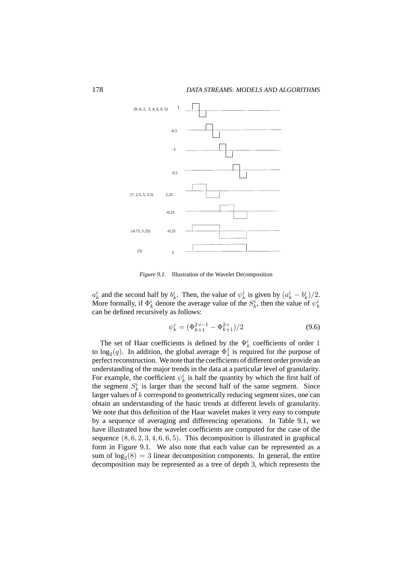

*Figure 9.1.* Illustration of the Wavelet Decomposition

 $a_k^i$  and the second half by  $b_k^i$ . Then, the value of  $\psi_k^i$  is given by  $(a_k^i - b_k^i)/2$ . More formally, if  $\Phi_k^i$  denote the average value of the  $S_k^i$ , then the value of  $\psi_k^i$ can be defined recursively as follows:

$$
\psi_k^i = (\Phi_{k+1}^{2 \cdot i-1} - \Phi_{k+1}^{2 \cdot i})/2 \tag{9.6}
$$

The set of Haar coefficients is defined by the  $\Psi_k^i$  coefficients of order 1 to  $log_2(q)$ . In addition, the global average  $\Phi_1^1$  is required for the purpose of perfect reconstruction. We note that the coefficients of different order provide an understanding of the major trends in the data at a particular level of granularity. For example, the coefficient  $\psi_k^i$  is half the quantity by which the first half of the segment  $S_k^i$  is larger than the second half of the same segment. Since larger values of k correspond to geometrically reducing segment sizes, one can obtain an understanding of the basic trends at different levels of granularity. We note that this definition of the Haar wavelet makes it very easy to compute by a sequence of averaging and differencing operations. In Table 9.1, we have illustrated how the wavelet coefficients are computed for the case of the sequence  $(8, 6, 2, 3, 4, 6, 6, 5)$ . This decomposition is illustrated in graphical form in Figure 9.1. We also note that each value can be represented as a sum of  $log_2(8) = 3$  linear decomposition components. In general, the entire decomposition may be represented as a tree of depth 3, which represents the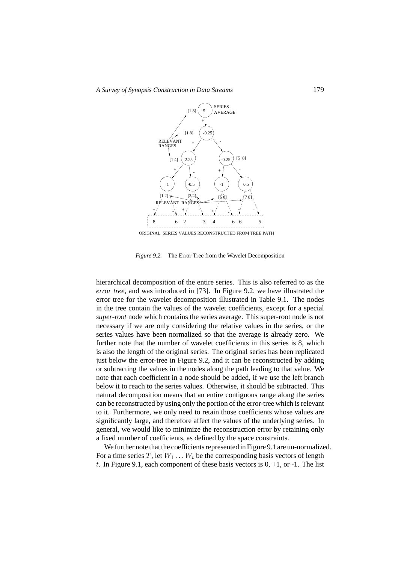

*Figure 9.2.* The Error Tree from the Wavelet Decomposition

hierarchical decomposition of the entire series. This is also referred to as the *error tree*, and was introduced in [73]. In Figure 9.2, we have illustrated the error tree for the wavelet decomposition illustrated in Table 9.1. The nodes in the tree contain the values of the wavelet coefficients, except for a special *super-root* node which contains the series average. This super-root node is not necessary if we are only considering the relative values in the series, or the series values have been normalized so that the average is already zero. We further note that the number of wavelet coefficients in this series is 8, which is also the length of the original series. The original series has been replicated just below the error-tree in Figure 9.2, and it can be reconstructed by adding or subtracting the values in the nodes along the path leading to that value. We note that each coefficient in a node should be added, if we use the left branch below it to reach to the series values. Otherwise, it should be subtracted. This natural decomposition means that an entire contiguous range along the series can be reconstructed by using only the portion of the error-tree which is relevant to it. Furthermore, we only need to retain those coefficients whose values are significantly large, and therefore affect the values of the underlying series. In general, we would like to minimize the reconstruction error by retaining only a fixed number of coefficients, as defined by the space constraints.

We further note that the coefficients represented in Figure 9.1 are un-normalized. For a time series T, let  $\overline{W_1}$  ...  $\overline{W_t}$  be the corresponding basis vectors of length t. In Figure 9.1, each component of these basis vectors is  $0, +1$ , or  $-1$ . The list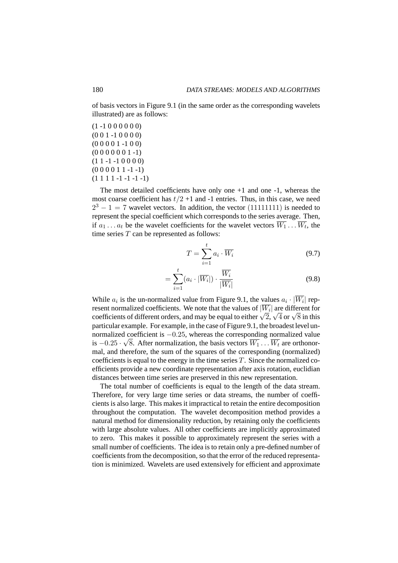of basis vectors in Figure 9.1 (in the same order as the corresponding wavelets illustrated) are as follows:

 $(1 -1 0 0 0 0 0 0)$  $(0 0 1 - 1 0 0 0 0)$  $(0 0 0 0 1 - 1 0 0)$  $(0 0 0 0 0 0 1 -1)$  $(1 1 - 1 - 1 0 0 0 0)$  $(0 0 0 0 1 1 -1 -1)$  $(1\ 1\ 1\ 1\ -1\ -1\ -1)$ 

The most detailed coefficients have only one  $+1$  and one  $-1$ , whereas the most coarse coefficient has  $t/2 + 1$  and  $-1$  entries. Thus, in this case, we need  $2^3 - 1 = 7$  wavelet vectors. In addition, the vector (11111111) is needed to represent the special coefficient which corresponds to the series average. Then, if  $a_1 \dots a_t$  be the wavelet coefficients for the wavelet vectors  $W_1 \dots W_t$ , the time series  $T$  can be represented as follows:

$$
T = \sum_{i=1}^{t} a_i \cdot \overline{W_i} \tag{9.7}
$$

$$
= \sum_{i=1}^{t} (a_i \cdot |\overline{W_i}|) \cdot \frac{\overline{W_i}}{|\overline{W_i}|}
$$
(9.8)

While  $a_i$  is the un-normalized value from Figure 9.1, the values  $a_i \cdot |W_i|$  represent normalized coefficients. We note that the values of  $|\overline{W_i}|$  are different for coefficients of different orders, and may be equal to either  $\sqrt{2}$ ,  $\sqrt{4}$  or  $\sqrt{8}$  in this particular example. For example, in the case of Figure 9.1, the broadest level unnormalized coefficient is −0.25, whereas the corresponding normalized value is  $-0.25 \cdot \sqrt{8}$ . After normalization, the basis vectors  $\overline{W_1} \dots \overline{W_t}$  are orthonormal, and therefore, the sum of the squares of the corresponding (normalized) coefficients is equal to the energy in the time series  $T$ . Since the normalized coefficients provide a new coordinate representation after axis rotation, euclidian distances between time series are preserved in this new representation.

The total number of coefficients is equal to the length of the data stream. Therefore, for very large time series or data streams, the number of coefficients is also large. This makes it impractical to retain the entire decomposition throughout the computation. The wavelet decomposition method provides a natural method for dimensionality reduction, by retaining only the coefficients with large absolute values. All other coefficients are implicitly approximated to zero. This makes it possible to approximately represent the series with a small number of coefficients. The idea is to retain only a pre-defined number of coefficients from the decomposition, so that the error of the reduced representation is minimized. Wavelets are used extensively for efficient and approximate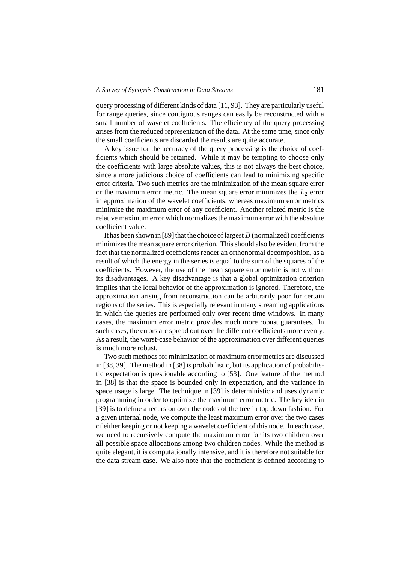query processing of different kinds of data [11, 93]. They are particularly useful for range queries, since contiguous ranges can easily be reconstructed with a small number of wavelet coefficients. The efficiency of the query processing arises from the reduced representation of the data. At the same time, since only the small coefficients are discarded the results are quite accurate.

A key issue for the accuracy of the query processing is the choice of coefficients which should be retained. While it may be tempting to choose only the coefficients with large absolute values, this is not always the best choice, since a more judicious choice of coefficients can lead to minimizing specific error criteria. Two such metrics are the minimization of the mean square error or the maximum error metric. The mean square error minimizes the  $L_2$  error in approximation of the wavelet coefficients, whereas maximum error metrics minimize the maximum error of any coefficient. Another related metric is the relative maximum error which normalizes the maximum error with the absolute coefficient value.

It has been shown in [89] that the choice of largest  $B$  (normalized) coefficients minimizes the mean square error criterion. This should also be evident from the fact that the normalized coefficients render an orthonormal decomposition, as a result of which the energy in the series is equal to the sum of the squares of the coefficients. However, the use of the mean square error metric is not without its disadvantages. A key disadvantage is that a global optimization criterion implies that the local behavior of the approximation is ignored. Therefore, the approximation arising from reconstruction can be arbitrarily poor for certain regions of the series. This is especially relevant in many streaming applications in which the queries are performed only over recent time windows. In many cases, the maximum error metric provides much more robust guarantees. In such cases, the errors are spread out over the different coefficients more evenly. As a result, the worst-case behavior of the approximation over different queries is much more robust.

Two such methods for minimization of maximum error metrics are discussed in [38, 39]. The method in [38] is probabilistic, but its application of probabilistic expectation is questionable according to [53]. One feature of the method in [38] is that the space is bounded only in expectation, and the variance in space usage is large. The technique in [39] is deterministic and uses dynamic programming in order to optimize the maximum error metric. The key idea in [39] is to define a recursion over the nodes of the tree in top down fashion. For a given internal node, we compute the least maximum error over the two cases of either keeping or not keeping a wavelet coefficient of this node. In each case, we need to recursively compute the maximum error for its two children over all possible space allocations among two children nodes. While the method is quite elegant, it is computationally intensive, and it is therefore not suitable for the data stream case. We also note that the coefficient is defined according to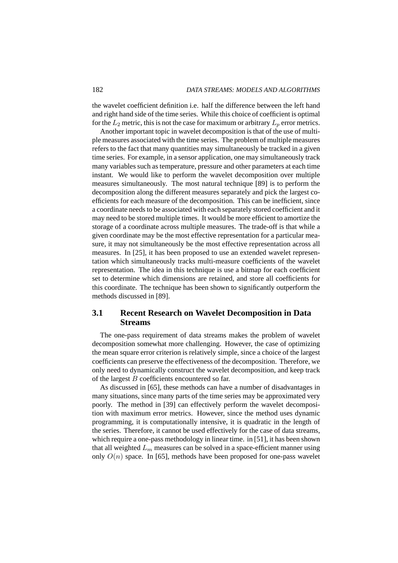the wavelet coefficient definition i.e. half the difference between the left hand and right hand side of the time series. While this choice of coefficient is optimal for the  $L_2$  metric, this is not the case for maximum or arbitrary  $L_p$  error metrics.

Another important topic in wavelet decomposition is that of the use of multiple measures associated with the time series. The problem of multiple measures refers to the fact that many quantities may simultaneously be tracked in a given time series. For example, in a sensor application, one may simultaneously track many variables such as temperature, pressure and other parameters at each time instant. We would like to perform the wavelet decomposition over multiple measures simultaneously. The most natural technique [89] is to perform the decomposition along the different measures separately and pick the largest coefficients for each measure of the decomposition. This can be inefficient, since a coordinate needs to be associated with each separately stored coefficient and it may need to be stored multiple times. It would be more efficient to amortize the storage of a coordinate across multiple measures. The trade-off is that while a given coordinate may be the most effective representation for a particular measure, it may not simultaneously be the most effective representation across all measures. In [25], it has been proposed to use an extended wavelet representation which simultaneously tracks multi-measure coefficients of the wavelet representation. The idea in this technique is use a bitmap for each coefficient set to determine which dimensions are retained, and store all coefficients for this coordinate. The technique has been shown to significantly outperform the methods discussed in [89].

## **3.1 Recent Research on Wavelet Decomposition in Data Streams**

The one-pass requirement of data streams makes the problem of wavelet decomposition somewhat more challenging. However, the case of optimizing the mean square error criterion is relatively simple, since a choice of the largest coefficients can preserve the effectiveness of the decomposition. Therefore, we only need to dynamically construct the wavelet decomposition, and keep track of the largest B coefficients encountered so far.

As discussed in [65], these methods can have a number of disadvantages in many situations, since many parts of the time series may be approximated very poorly. The method in [39] can effectively perform the wavelet decomposition with maximum error metrics. However, since the method uses dynamic programming, it is computationally intensive, it is quadratic in the length of the series. Therefore, it cannot be used effectively for the case of data streams, which require a one-pass methodology in linear time. in [51], it has been shown that all weighted  $L_m$  measures can be solved in a space-efficient manner using only  $O(n)$  space. In [65], methods have been proposed for one-pass wavelet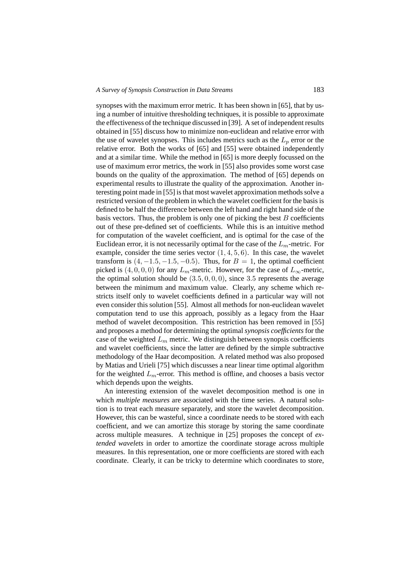synopses with the maximum error metric. It has been shown in [65], that by using a number of intuitive thresholding techniques, it is possible to approximate the effectiveness of the technique discussed in [39]. A set of independent results obtained in [55] discuss how to minimize non-euclidean and relative error with the use of wavelet synopses. This includes metrics such as the  $L_p$  error or the relative error. Both the works of [65] and [55] were obtained independently and at a similar time. While the method in [65] is more deeply focussed on the use of maximum error metrics, the work in [55] also provides some worst case bounds on the quality of the approximation. The method of [65] depends on experimental results to illustrate the quality of the approximation. Another interesting point made in [55] is that most wavelet approximation methods solve a restricted version of the problem in which the wavelet coefficient for the basis is defined to be half the difference between the left hand and right hand side of the basis vectors. Thus, the problem is only one of picking the best  $B$  coefficients out of these pre-defined set of coefficients. While this is an intuitive method for computation of the wavelet coefficient, and is optimal for the case of the Euclidean error, it is not necessarily optimal for the case of the  $L_m$ -metric. For example, consider the time series vector  $(1, 4, 5, 6)$ . In this case, the wavelet transform is  $(4, -1.5, -1.5, -0.5)$ . Thus, for  $B = 1$ , the optimal coefficient picked is  $(4, 0, 0, 0)$  for any  $L_m$ -metric. However, for the case of  $L_\infty$ -metric, the optimal solution should be  $(3.5, 0, 0, 0)$ , since 3.5 represents the average between the minimum and maximum value. Clearly, any scheme which restricts itself only to wavelet coefficients defined in a particular way will not even consider this solution [55]. Almost all methods for non-euclidean wavelet computation tend to use this approach, possibly as a legacy from the Haar method of wavelet decomposition. This restriction has been removed in [55] and proposes a method for determining the optimal *synopsis coefficients* for the case of the weighted  $L_m$  metric. We distinguish between synopsis coefficients and wavelet coefficients, since the latter are defined by the simple subtractive methodology of the Haar decomposition. A related method was also proposed by Matias and Urieli [75] which discusses a near linear time optimal algorithm for the weighted  $L_m$ -error. This method is offline, and chooses a basis vector which depends upon the weights.

An interesting extension of the wavelet decomposition method is one in which *multiple measures* are associated with the time series. A natural solution is to treat each measure separately, and store the wavelet decomposition. However, this can be wasteful, since a coordinate needs to be stored with each coefficient, and we can amortize this storage by storing the same coordinate across multiple measures. A technique in [25] proposes the concept of *extended wavelets* in order to amortize the coordinate storage across multiple measures. In this representation, one or more coefficients are stored with each coordinate. Clearly, it can be tricky to determine which coordinates to store,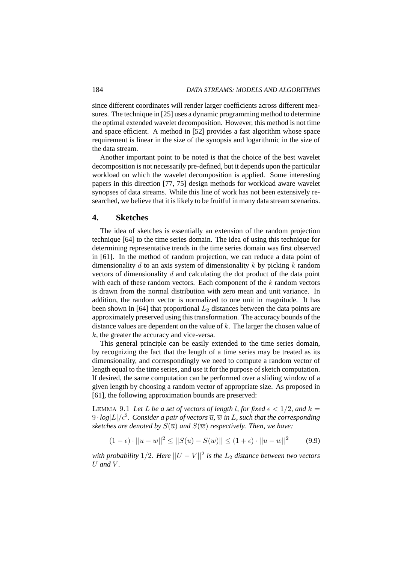since different coordinates will render larger coefficients across different measures. The technique in [25] uses a dynamic programming method to determine the optimal extended wavelet decomposition. However, this method is not time and space efficient. A method in [52] provides a fast algorithm whose space requirement is linear in the size of the synopsis and logarithmic in the size of the data stream.

Another important point to be noted is that the choice of the best wavelet decomposition is not necessarily pre-defined, but it depends upon the particular workload on which the wavelet decomposition is applied. Some interesting papers in this direction [77, 75] design methods for workload aware wavelet synopses of data streams. While this line of work has not been extensively researched, we believe that it is likely to be fruitful in many data stream scenarios.

## **4. Sketches**

The idea of sketches is essentially an extension of the random projection technique [64] to the time series domain. The idea of using this technique for determining representative trends in the time series domain was first observed in [61]. In the method of random projection, we can reduce a data point of dimensionality  $d$  to an axis system of dimensionality  $k$  by picking  $k$  random vectors of dimensionality d and calculating the dot product of the data point with each of these random vectors. Each component of the  $k$  random vectors is drawn from the normal distribution with zero mean and unit variance. In addition, the random vector is normalized to one unit in magnitude. It has been shown in [64] that proportional  $L_2$  distances between the data points are approximately preserved using this transformation. The accuracy bounds of the distance values are dependent on the value of k. The larger the chosen value of  $k$ , the greater the accuracy and vice-versa.

This general principle can be easily extended to the time series domain, by recognizing the fact that the length of a time series may be treated as its dimensionality, and correspondingly we need to compute a random vector of length equal to the time series, and use it for the purpose of sketch computation. If desired, the same computation can be performed over a sliding window of a given length by choosing a random vector of appropriate size. As proposed in [61], the following approximation bounds are preserved:

LEMMA 9.1 Let L be a set of vectors of length l, for fixed  $\epsilon < 1/2$ , and  $k =$  $9 \cdot log|L|/\epsilon^2$ . Consider a pair of vectors  $\overline{u}$ ,  $\overline{w}$  in L, such that the corresponding *sketches are denoted by*  $S(\overline{u})$  *and*  $S(\overline{w})$  *respectively. Then, we have:* 

$$
(1 - \epsilon) \cdot ||\overline{u} - \overline{w}||^2 \le ||S(\overline{u}) - S(\overline{w})|| \le (1 + \epsilon) \cdot ||\overline{u} - \overline{w}||^2 \tag{9.9}
$$

*with probability*  $1/2$ *. Here*  $||U - V||^2$  *is the L*<sub>2</sub> *distance between two vectors* U and  $V$ .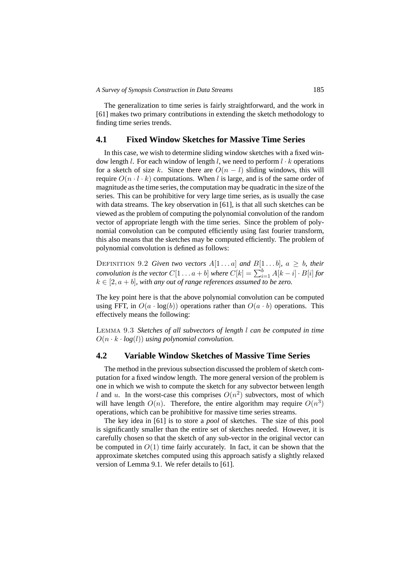The generalization to time series is fairly straightforward, and the work in [61] makes two primary contributions in extending the sketch methodology to finding time series trends.

### **4.1 Fixed Window Sketches for Massive Time Series**

In this case, we wish to determine sliding window sketches with a fixed window length l. For each window of length l, we need to perform  $l \cdot k$  operations for a sketch of size k. Since there are  $O(n - l)$  sliding windows, this will require  $O(n \cdot l \cdot k)$  computations. When l is large, and is of the same order of magnitude as the time series, the computation may be quadratic in the size of the series. This can be prohibitive for very large time series, as is usually the case with data streams. The key observation in [61], is that all such sketches can be viewed as the problem of computing the polynomial convolution of the random vector of appropriate length with the time series. Since the problem of polynomial convolution can be computed efficiently using fast fourier transform, this also means that the sketches may be computed efficiently. The problem of polynomial convolution is defined as follows:

DEFINITION 9.2 *Given two vectors*  $A[1 \dots a]$  *and*  $B[1 \dots b]$ *,*  $a \ge b$ *, their convolution is the vector*  $C[1 \dots a+b]$  *where*  $C[k] = \sum_{i=1}^{b} A[k-i] \cdot B[i]$  *for*  $k \in [2, a + b]$ , with any out of range references assumed to be zero.

The key point here is that the above polynomial convolution can be computed using FFT, in  $O(a \cdot \log(b))$  operations rather than  $O(a \cdot b)$  operations. This effectively means the following:

Lemma 9.3 *Sketches of all subvectors of length* l *can be computed in time*  $O(n \cdot k \cdot log(l))$  *using polynomial convolution.* 

## **4.2 Variable Window Sketches of Massive Time Series**

The method in the previous subsection discussed the problem of sketch computation for a fixed window length. The more general version of the problem is one in which we wish to compute the sketch for any subvector between length l and u. In the worst-case this comprises  $O(n^2)$  subvectors, most of which will have length  $O(n)$ . Therefore, the entire algorithm may require  $O(n^3)$ operations, which can be prohibitive for massive time series streams.

The key idea in [61] is to store a *pool* of sketches. The size of this pool is significantly smaller than the entire set of sketches needed. However, it is carefully chosen so that the sketch of any sub-vector in the original vector can be computed in  $O(1)$  time fairly accurately. In fact, it can be shown that the approximate sketches computed using this approach satisfy a slightly relaxed version of Lemma 9.1. We refer details to [61].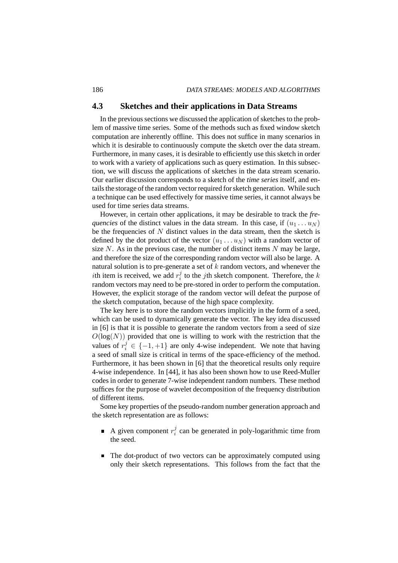## **4.3 Sketches and their applications in Data Streams**

In the previous sections we discussed the application of sketches to the problem of massive time series. Some of the methods such as fixed window sketch computation are inherently offline. This does not suffice in many scenarios in which it is desirable to continuously compute the sketch over the data stream. Furthermore, in many cases, it is desirable to efficiently use this sketch in order to work with a variety of applications such as query estimation. In this subsection, we will discuss the applications of sketches in the data stream scenario. Our earlier discussion corresponds to a sketch of the *time series* itself, and entails the storage of the random vector required for sketch generation. While such a technique can be used effectively for massive time series, it cannot always be used for time series data streams.

However, in certain other applications, it may be desirable to track the *frequencies* of the distinct values in the data stream. In this case, if  $(u_1 \dots u_N)$ be the frequencies of  $N$  distinct values in the data stream, then the sketch is defined by the dot product of the vector  $(u_1 \dots u_N)$  with a random vector of size  $N$ . As in the previous case, the number of distinct items  $N$  may be large, and therefore the size of the corresponding random vector will also be large. A natural solution is to pre-generate a set of  $k$  random vectors, and whenever the *i*th item is received, we add  $r_i^j$  $i$  to the *j*th sketch component. Therefore, the *k* random vectors may need to be pre-stored in order to perform the computation. However, the explicit storage of the random vector will defeat the purpose of the sketch computation, because of the high space complexity.

The key here is to store the random vectors implicitly in the form of a seed, which can be used to dynamically generate the vector. The key idea discussed in [6] is that it is possible to generate the random vectors from a seed of size  $O(log(N))$  provided that one is willing to work with the restriction that the values of  $r_i^j \in \{-1, +1\}$  are only 4-wise independent. We note that having a seed of small size is critical in terms of the space-efficiency of the method. Furthermore, it has been shown in [6] that the theoretical results only require 4-wise independence. In [44], it has also been shown how to use Reed-Muller codes in order to generate 7-wise independent random numbers. These method suffices for the purpose of wavelet decomposition of the frequency distribution of different items.

Some key properties of the pseudo-random number generation approach and the sketch representation are as follows:

- A given component  $r_i^j$  $i$  can be generated in poly-logarithmic time from the seed.
- The dot-product of two vectors can be approximately computed using only their sketch representations. This follows from the fact that the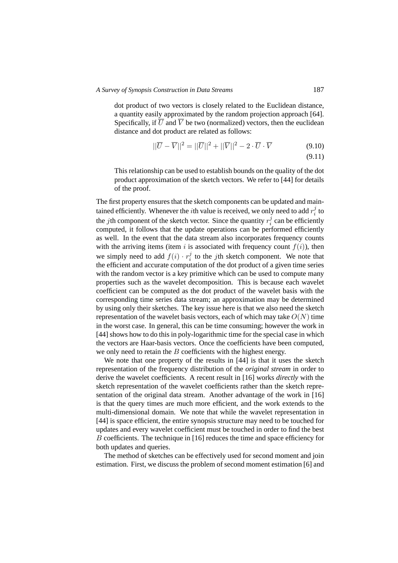dot product of two vectors is closely related to the Euclidean distance, a quantity easily approximated by the random projection approach [64]. Specifically, if  $\overline{U}$  and  $\overline{V}$  be two (normalized) vectors, then the euclidean distance and dot product are related as follows:

$$
||\overline{U} - \overline{V}||^2 = ||\overline{U}||^2 + ||\overline{V}||^2 - 2 \cdot \overline{U} \cdot \overline{V}
$$
\n(9.10)

$$
(9.11)
$$

This relationship can be used to establish bounds on the quality of the dot product approximation of the sketch vectors. We refer to [44] for details of the proof.

The first property ensures that the sketch components can be updated and maintained efficiently. Whenever the *i*th value is received, we only need to add  $r_i^j$  $\frac{j}{i}$  to the *j*th component of the sketch vector. Since the quantity  $r_i^j$  $i$  can be efficiently computed, it follows that the update operations can be performed efficiently as well. In the event that the data stream also incorporates frequency counts with the arriving items (item i is associated with frequency count  $f(i)$ ), then we simply need to add  $f(i) \cdot r_i^j$  $i$  to the *j*th sketch component. We note that the efficient and accurate computation of the dot product of a given time series with the random vector is a key primitive which can be used to compute many properties such as the wavelet decomposition. This is because each wavelet coefficient can be computed as the dot product of the wavelet basis with the corresponding time series data stream; an approximation may be determined by using only their sketches. The key issue here is that we also need the sketch representation of the wavelet basis vectors, each of which may take  $O(N)$  time in the worst case. In general, this can be time consuming; however the work in [44] shows how to do this in poly-logarithmic time for the special case in which the vectors are Haar-basis vectors. Once the coefficients have been computed, we only need to retain the B coefficients with the highest energy.

We note that one property of the results in [44] is that it uses the sketch representation of the frequency distribution of the *original stream* in order to derive the wavelet coefficients. A recent result in [16] works *directly* with the sketch representation of the wavelet coefficients rather than the sketch representation of the original data stream. Another advantage of the work in [16] is that the query times are much more efficient, and the work extends to the multi-dimensional domain. We note that while the wavelet representation in [44] is space efficient, the entire synopsis structure may need to be touched for updates and every wavelet coefficient must be touched in order to find the best B coefficients. The technique in [16] reduces the time and space efficiency for both updates and queries.

The method of sketches can be effectively used for second moment and join estimation. First, we discuss the problem of second moment estimation [6] and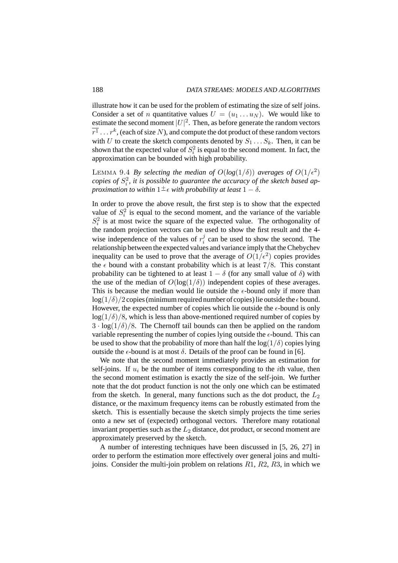illustrate how it can be used for the problem of estimating the size of self joins. Consider a set of *n* quantitative values  $U = (u_1 \dots u_N)$ . We would like to estimate the second moment  $|U|^2$ . Then, as before generate the random vectors  $\overline{r^1} \dots r^k$ , (each of size  $N$ ), and compute the dot product of these random vectors with U to create the sketch components denoted by  $S_1 \ldots S_k$ . Then, it can be shown that the expected value of  $S_i^2$  is equal to the second moment. In fact, the approximation can be bounded with high probability.

LEMMA 9.4 By selecting the median of  $O(log(1/\delta))$  averages of  $O(1/\epsilon^2)$ *copies of*  $S_i^2$ , it is possible to guarantee the accuracy of the sketch based ap*proximation to within*  $1^{\pm}$  $\epsilon$  *with probability at least*  $1 - \delta$ *.* 

In order to prove the above result, the first step is to show that the expected value of  $S_i^2$  is equal to the second moment, and the variance of the variable  $S_i^2$  is at most twice the square of the expected value. The orthogonality of the random projection vectors can be used to show the first result and the 4 wise independence of the values of  $r_i^j$  $i<sub>i</sub>$  can be used to show the second. The relationship between the expected values and variance imply that the Chebychev inequality can be used to prove that the average of  $O(1/\epsilon^2)$  copies provides the  $\epsilon$  bound with a constant probability which is at least 7/8. This constant probability can be tightened to at least  $1 - \delta$  (for any small value of  $\delta$ ) with the use of the median of  $O(log(1/\delta))$  independent copies of these averages. This is because the median would lie outside the  $\epsilon$ -bound only if more than  $log(1/\delta)/2$  copies (minimum required number of copies) lie outside the  $\epsilon$  bound. However, the expected number of copies which lie outside the  $\epsilon$ -bound is only  $log(1/\delta)/8$ , which is less than above-mentioned required number of copies by  $3 \cdot \log(1/\delta)/8$ . The Chernoff tail bounds can then be applied on the random variable representing the number of copies lying outside the  $\epsilon$ -bound. This can be used to show that the probability of more than half the  $\log(1/\delta)$  copies lying outside the  $ε$ -bound is at most  $δ$ . Details of the proof can be found in [6].

We note that the second moment immediately provides an estimation for self-joins. If  $u_i$  be the number of items corresponding to the *i*th value, then the second moment estimation is exactly the size of the self-join. We further note that the dot product function is not the only one which can be estimated from the sketch. In general, many functions such as the dot product, the  $L_2$ distance, or the maximum frequency items can be robustly estimated from the sketch. This is essentially because the sketch simply projects the time series onto a new set of (expected) orthogonal vectors. Therefore many rotational invariant properties such as the  $L_2$  distance, dot product, or second moment are approximately preserved by the sketch.

A number of interesting techniques have been discussed in [5, 26, 27] in order to perform the estimation more effectively over general joins and multijoins. Consider the multi-join problem on relations  $R1, R2, R3$ , in which we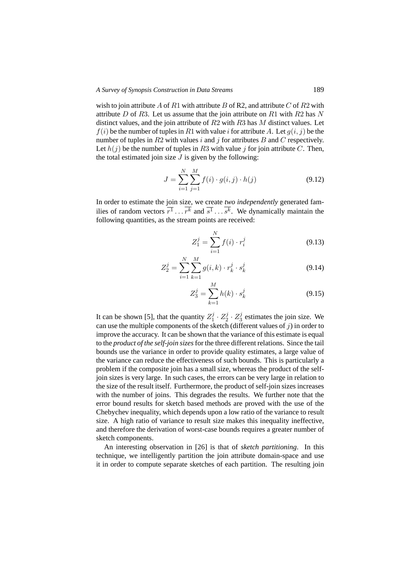wish to join attribute A of R1 with attribute B of R2, and attribute C of R2 with attribute D of R3. Let us assume that the join attribute on R1 with R2 has N distinct values, and the join attribute of  $R2$  with  $R3$  has M distinct values. Let  $f(i)$  be the number of tuples in R1 with value i for attribute A. Let  $g(i, j)$  be the number of tuples in  $R2$  with values i and j for attributes B and C respectively. Let  $h(j)$  be the number of tuples in R3 with value j for join attribute C. Then, the total estimated join size  $J$  is given by the following:

$$
J = \sum_{i=1}^{N} \sum_{j=1}^{M} f(i) \cdot g(i, j) \cdot h(j)
$$
 (9.12)

In order to estimate the join size, we create *two independently* generated families of random vectors  $r^1 \dots r^k$  and  $s^1 \dots s^k$ . We dynamically maintain the following quantities, as the stream points are received:

$$
Z_1^j = \sum_{i=1}^N f(i) \cdot r_i^j
$$
 (9.13)

$$
Z_2^j = \sum_{i=1}^N \sum_{k=1}^M g(i,k) \cdot r_k^j \cdot s_k^j \tag{9.14}
$$

$$
Z_3^j = \sum_{k=1}^M h(k) \cdot s_k^j
$$
 (9.15)

It can be shown [5], that the quantity  $Z_1^j$  $i\atop 1}\cdot Z_2^j$  $i_2^j\cdot Z_3^j$  $3<sup>3</sup>$  estimates the join size. We can use the multiple components of the sketch (different values of  $j$ ) in order to improve the accuracy. It can be shown that the variance of this estimate is equal to the *product of the self-join sizes*for the three different relations. Since the tail bounds use the variance in order to provide quality estimates, a large value of the variance can reduce the effectiveness of such bounds. This is particularly a problem if the composite join has a small size, whereas the product of the selfjoin sizes is very large. In such cases, the errors can be very large in relation to the size of the result itself. Furthermore, the product of self-join sizes increases with the number of joins. This degrades the results. We further note that the error bound results for sketch based methods are proved with the use of the Chebychev inequality, which depends upon a low ratio of the variance to result size. A high ratio of variance to result size makes this inequality ineffective, and therefore the derivation of worst-case bounds requires a greater number of sketch components.

An interesting observation in [26] is that of *sketch partitioning*. In this technique, we intelligently partition the join attribute domain-space and use it in order to compute separate sketches of each partition. The resulting join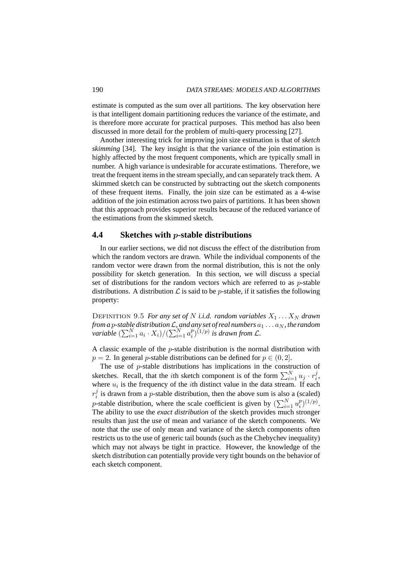estimate is computed as the sum over all partitions. The key observation here is that intelligent domain partitioning reduces the variance of the estimate, and is therefore more accurate for practical purposes. This method has also been discussed in more detail for the problem of multi-query processing [27].

Another interesting trick for improving join size estimation is that of *sketch skimming* [34]. The key insight is that the variance of the join estimation is highly affected by the most frequent components, which are typically small in number. A high variance is undesirable for accurate estimations. Therefore, we treat the frequent items in the stream specially, and can separately track them. A skimmed sketch can be constructed by subtracting out the sketch components of these frequent items. Finally, the join size can be estimated as a 4-wise addition of the join estimation across two pairs of partitions. It has been shown that this approach provides superior results because of the reduced variance of the estimations from the skimmed sketch.

#### **4.4 Sketches with** p**-stable distributions**

In our earlier sections, we did not discuss the effect of the distribution from which the random vectors are drawn. While the individual components of the random vector were drawn from the normal distribution, this is not the only possibility for sketch generation. In this section, we will discuss a special set of distributions for the random vectors which are referred to as  $p$ -stable distributions. A distribution  $\mathcal L$  is said to be *p*-stable, if it satisfies the following property:

DEFINITION 9.5 *For any set of* N *i.i.d.* random variables  $X_1 \ldots X_N$  drawn *from a* p-stable distribution  $\mathcal{L}$ , and any set of real numbers  $a_1 \dots a_N$ , the random *variable*  $(\sum_{i=1}^{N} a_i \cdot X_i)/(\sum_{i=1}^{N} a_i^p)$  $\int_i^p$ <sup>(1/p)</sup> is drawn from L.

A classic example of the p-stable distribution is the normal distribution with  $p = 2$ . In general p-stable distributions can be defined for  $p \in (0, 2]$ .

The use of  $p$ -stable distributions has implications in the construction of sketches. Recall, that the *i*th sketch component is of the form  $\sum_{i=1}^{N} u_j \cdot r_i^j$ , sketches. Kecan, that the law sketch component is of the form  $\sum_{i=1}^{n} u_i \cdot r_i$ , where  $u_i$  is the frequency of the *i*th distinct value in the data stream. If each  $r_i^j$  $\frac{3}{i}$  is drawn from a *p*-stable distribution, then the above sum is also a (scaled) p-stable distribution, where the scale coefficient is given by  $(\sum_{i=1}^{N} u_i^p)$  $\binom{p}{i}$ <sup>(1/p)</sup>. The ability to use the *exact distribution* of the sketch provides much stronger results than just the use of mean and variance of the sketch components. We note that the use of only mean and variance of the sketch components often restricts us to the use of generic tail bounds (such as the Chebychev inequality) which may not always be tight in practice. However, the knowledge of the sketch distribution can potentially provide very tight bounds on the behavior of each sketch component.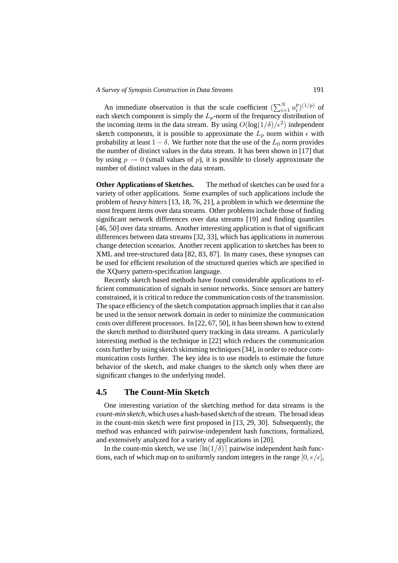An immediate observation is that the scale coefficient  $(\sum_{i=1}^{N} u_i^p)$  $\binom{p}{i}$ <sup>(1/p)</sup> of each sketch component is simply the  $L_p$ -norm of the frequency distribution of the incoming items in the data stream. By using  $O(log(1/\delta)/\epsilon^2)$  independent sketch components, it is possible to approximate the  $L_p$  norm within  $\epsilon$  with probability at least  $1 - \delta$ . We further note that the use of the  $L_0$  norm provides the number of distinct values in the data stream. It has been shown in [17] that by using  $p \rightarrow 0$  (small values of p), it is possible to closely approximate the number of distinct values in the data stream.

**Other Applications of Sketches.** The method of sketches can be used for a variety of other applications. Some examples of such applications include the problem of *heavy hitters* [13, 18, 76, 21], a problem in which we determine the most frequent items over data streams. Other problems include those of finding significant network differences over data streams [19] and finding quantiles [46, 50] over data streams. Another interesting application is that of significant differences between data streams [32, 33], which has applications in numerous change detection scenarios. Another recent application to sketches has been to XML and tree-structured data [82, 83, 87]. In many cases, these synopses can be used for efficient resolution of the structured queries which are specified in the XQuery pattern-specification language.

Recently sketch based methods have found considerable applications to efficient communication of signals in sensor networks. Since sensors are battery constrained, it is critical to reduce the communication costs of the transmission. The space efficiency of the sketch computation approach implies that it can also be used in the sensor network domain in order to minimize the communication costs over different processors. In [22, 67, 50], it has been shown how to extend the sketch method to distributed query tracking in data streams. A particularly interesting method is the technique in [22] which reduces the communication costs further by using sketch skimming techniques [34], in order to reduce communication costs further. The key idea is to use models to estimate the future behavior of the sketch, and make changes to the sketch only when there are significant changes to the underlying model.

## **4.5 The Count-Min Sketch**

One interesting variation of the sketching method for data streams is the *count-min sketch*, which uses a hash-based sketch of the stream. The broad ideas in the count-min sketch were first proposed in [13, 29, 30]. Subsequently, the method was enhanced with pairwise-independent hash functions, formalized, and extensively analyzed for a variety of applications in [20].

In the count-min sketch, we use  $\left[ln(1/\delta)\right]$  pairwise independent hash functions, each of which map on to uniformly random integers in the range  $[0, e/\epsilon]$ ,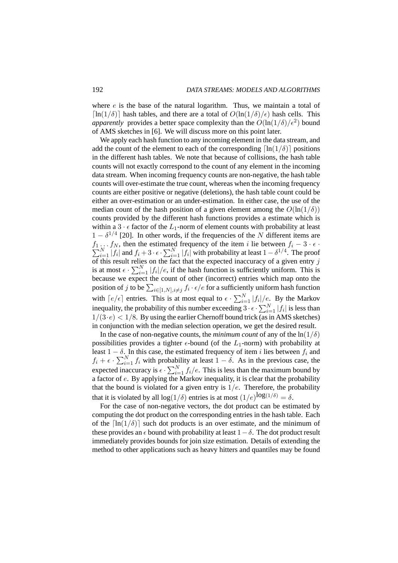where  $e$  is the base of the natural logarithm. Thus, we maintain a total of  $[\ln(1/\delta)]$  hash tables, and there are a total of  $O(\ln(1/\delta)/\epsilon)$  hash cells. This *apparently* provides a better space complexity than the  $O(\ln(1/\delta)/\epsilon^2)$  bound of AMS sketches in [6]. We will discuss more on this point later.

We apply each hash function to any incoming element in the data stream, and add the count of the element to each of the corresponding  $\lceil \ln(1/\delta) \rceil$  positions in the different hash tables. We note that because of collisions, the hash table counts will not exactly correspond to the count of any element in the incoming data stream. When incoming frequency counts are non-negative, the hash table counts will over-estimate the true count, whereas when the incoming frequency counts are either positive or negative (deletions), the hash table count could be either an over-estimation or an under-estimation. In either case, the use of the median count of the hash position of a given element among the  $O(\ln(1/\delta))$ counts provided by the different hash functions provides a estimate which is within a  $3 \cdot \epsilon$  factor of the  $L_1$ -norm of element counts with probability at least  $1 - \delta^{1/4}$  [20]. In other words, if the frequencies of the N different items are f  $\sum$  $f_1 \tcdot f_N$ , then the estimated frequency of the item *i* lie between  $f_i - 3 \cdot \epsilon \cdot N$ <br>  $\sum_{i=1}^N |f_i|$  and  $f_i + 3 \cdot \epsilon \cdot \sum_{i=1}^N |f_i|$  with probability at least  $1 - \delta^{1/4}$ . The proof of this result relies on the fact that the expected inaccuracy of a given entry  $j$ is at most  $\epsilon \cdot \sum_{i=1}^{N} |f_i|/e$ , if the hash function is sufficiently uniform. This is because we expect the count of other (incorrect) entries which map onto the position of  $j$  to be  $\sum_{i\in [1,N],i\neq j}f_i\cdot\epsilon/e$  for a sufficiently uniform hash function with  $\lceil e/\epsilon \rceil$  entries. This is at most equal to  $\epsilon \cdot \sum_{i=1}^{N} |f_i|/e$ . By the Markov inequality, the probability of this number exceeding  $3 \cdot \epsilon \cdot \sum_{i=1}^{N} |f_i|$  is less than  $1/(3 \cdot e) < 1/8$ . By using the earlier Chernoff bound trick (as in AMS sketches) in conjunction with the median selection operation, we get the desired result.

In the case of non-negative counts, the *minimum count* of any of the  $\ln(1/\delta)$ possibilities provides a tighter  $\epsilon$ -bound (of the  $L_1$ -norm) with probability at least  $1 - \delta$ . In this case, the estimated frequency of item *i* lies between  $f_i$  and  $f_i + \epsilon \cdot \sum_{i=1}^{N} f_i$  with probability at least  $1 - \delta$ . As in the previous case, the expected inaccuracy is  $\epsilon \cdot \sum_{i=1}^{N} f_i/e$ . This is less than the maximum bound by a factor of  $e$ . By applying the Markov inequality, it is clear that the probability that the bound is violated for a given entry is  $1/e$ . Therefore, the probability that it is violated by all  $log(1/\delta)$  entries is at most  $(1/e)^{log(1/\delta)} = \delta$ .

For the case of non-negative vectors, the dot product can be estimated by computing the dot product on the corresponding entries in the hash table. Each of the  $\lceil \ln(1/\delta) \rceil$  such dot products is an over estimate, and the minimum of these provides an  $\epsilon$  bound with probability at least  $1-\delta$ . The dot product result immediately provides bounds for join size estimation. Details of extending the method to other applications such as heavy hitters and quantiles may be found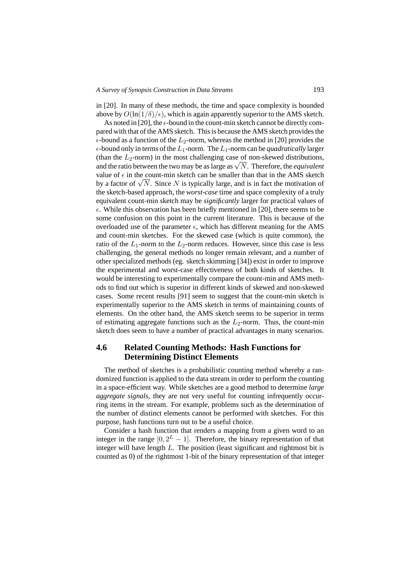in [20]. In many of these methods, the time and space complexity is bounded above by  $O(\ln(1/\delta)/\epsilon)$ , which is again apparently superior to the AMS sketch.

As noted in [20], the  $\epsilon$ -bound in the count-min sketch cannot be directly compared with that of the AMS sketch. This is because the AMS sketch provides the  $\epsilon$ -bound as a function of the  $L_2$ -norm, whereas the method in [20] provides the  $\epsilon$ -bound only in terms of the  $L_1$ -norm. The  $L_1$ -norm can be *quadratically* larger (than the  $L_2$ -norm) in the most challenging case of non-skewed distributions, and the ratio between the two may be as large as  $\sqrt{N}$ . Therefore, the *equivalent* value of  $\epsilon$  in the count-min sketch can be smaller than that in the AMS sketch by a factor of  $\sqrt{N}$ . Since N is typically large, and is in fact the motivation of the sketch-based approach, the *worst-case* time and space complexity of a truly equivalent count-min sketch may be *significantly* larger for practical values of  $\epsilon$ . While this observation has been briefly mentioned in [20], there seems to be some confusion on this point in the current literature. This is because of the overloaded use of the parameter  $\epsilon$ , which has different meaning for the AMS and count-min sketches. For the skewed case (which is quite common), the ratio of the  $L_1$ -norm to the  $L_2$ -norm reduces. However, since this case is less challenging, the general methods no longer remain relevant, and a number of other specialized methods (eg. sketch skimming [34]) exist in order to improve the experimental and worst-case effectiveness of both kinds of sketches. It would be interesting to experimentally compare the count-min and AMS methods to find out which is superior in different kinds of skewed and non-skewed cases. Some recent results [91] seem to suggest that the count-min sketch is experimentally superior to the AMS sketch in terms of maintaining counts of elements. On the other hand, the AMS sketch seems to be superior in terms of estimating aggregate functions such as the  $L_2$ -norm. Thus, the count-min sketch does seem to have a number of practical advantages in many scenarios.

## **4.6 Related Counting Methods: Hash Functions for Determining Distinct Elements**

The method of sketches is a probabilistic counting method whereby a randomized function is applied to the data stream in order to perform the counting in a space-efficient way. While sketches are a good method to determine *large aggregate signals*, they are not very useful for counting infrequently occurring items in the stream. For example, problems such as the determination of the number of distinct elements cannot be performed with sketches. For this purpose, hash functions turn out to be a useful choice.

Consider a hash function that renders a mapping from a given word to an integer in the range  $[0, 2^L - 1]$ . Therefore, the binary representation of that integer will have length L. The position (least significant and rightmost bit is counted as 0) of the rightmost 1-bit of the binary representation of that integer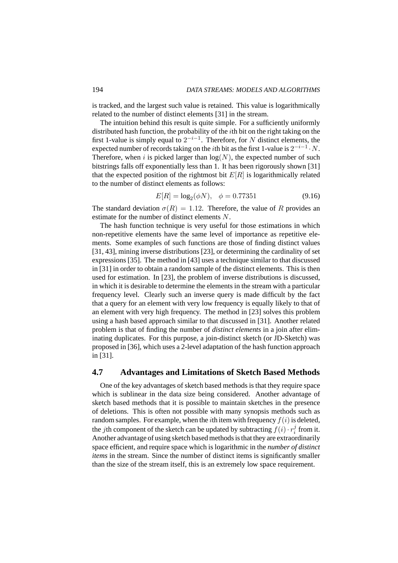is tracked, and the largest such value is retained. This value is logarithmically related to the number of distinct elements [31] in the stream.

The intuition behind this result is quite simple. For a sufficiently uniformly distributed hash function, the probability of the ith bit on the right taking on the first 1-value is simply equal to  $2^{-i-1}$ . Therefore, for N distinct elements, the expected number of records taking on the *i*th bit as the first 1-value is  $2^{-i-1} \cdot N$ . Therefore, when i is picked larger than  $log(N)$ , the expected number of such bitstrings falls off exponentially less than 1. It has been rigorously shown [31] that the expected position of the rightmost bit  $E[R]$  is logarithmically related to the number of distinct elements as follows:

$$
E[R] = \log_2(\phi N), \quad \phi = 0.77351 \tag{9.16}
$$

The standard deviation  $\sigma(R) = 1.12$ . Therefore, the value of R provides an estimate for the number of distinct elements N.

The hash function technique is very useful for those estimations in which non-repetitive elements have the same level of importance as repetitive elements. Some examples of such functions are those of finding distinct values [31, 43], mining inverse distributions [23], or determining the cardinality of set expressions [35]. The method in [43] uses a technique similar to that discussed in [31] in order to obtain a random sample of the distinct elements. This is then used for estimation. In [23], the problem of inverse distributions is discussed, in which it is desirable to determine the elements in the stream with a particular frequency level. Clearly such an inverse query is made difficult by the fact that a query for an element with very low frequency is equally likely to that of an element with very high frequency. The method in [23] solves this problem using a hash based approach similar to that discussed in [31]. Another related problem is that of finding the number of *distinct elements* in a join after eliminating duplicates. For this purpose, a join-distinct sketch (or JD-Sketch) was proposed in [36], which uses a 2-level adaptation of the hash function approach in [31].

## **4.7 Advantages and Limitations of Sketch Based Methods**

One of the key advantages of sketch based methods is that they require space which is sublinear in the data size being considered. Another advantage of sketch based methods that it is possible to maintain sketches in the presence of deletions. This is often not possible with many synopsis methods such as random samples. For example, when the *i*th item with frequency  $f(i)$  is deleted, the *j*th component of the sketch can be updated by subtracting  $f(i) \cdot r_i^j$  $i$  from it. Another advantage of using sketch based methods is that they are extraordinarily space efficient, and require space which is logarithmic in the *number of distinct items* in the stream. Since the number of distinct items is significantly smaller than the size of the stream itself, this is an extremely low space requirement.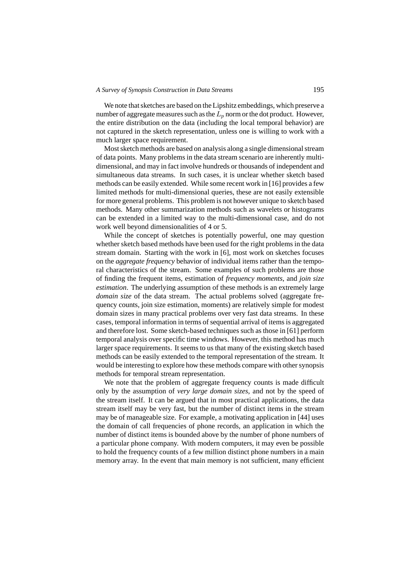We note that sketches are based on the Lipshitz embeddings, which preserve a number of aggregate measures such as the  $L_p$  norm or the dot product. However, the entire distribution on the data (including the local temporal behavior) are not captured in the sketch representation, unless one is willing to work with a much larger space requirement.

Most sketch methods are based on analysis along a single dimensional stream of data points. Many problems in the data stream scenario are inherently multidimensional, and may in fact involve hundreds or thousands of independent and simultaneous data streams. In such cases, it is unclear whether sketch based methods can be easily extended. While some recent work in [16] provides a few limited methods for multi-dimensional queries, these are not easily extensible for more general problems. This problem is not however unique to sketch based methods. Many other summarization methods such as wavelets or histograms can be extended in a limited way to the multi-dimensional case, and do not work well beyond dimensionalities of 4 or 5.

While the concept of sketches is potentially powerful, one may question whether sketch based methods have been used for the right problems in the data stream domain. Starting with the work in [6], most work on sketches focuses on the *aggregate frequency* behavior of individual items rather than the temporal characteristics of the stream. Some examples of such problems are those of finding the frequent items, estimation of *frequency moments*, and *join size estimation*. The underlying assumption of these methods is an extremely large *domain size* of the data stream. The actual problems solved (aggregate frequency counts, join size estimation, moments) are relatively simple for modest domain sizes in many practical problems over very fast data streams. In these cases, temporal information in terms of sequential arrival of items is aggregated and therefore lost. Some sketch-based techniques such as those in [61] perform temporal analysis over specific time windows. However, this method has much larger space requirements. It seems to us that many of the existing sketch based methods can be easily extended to the temporal representation of the stream. It would be interesting to explore how these methods compare with other synopsis methods for temporal stream representation.

We note that the problem of aggregate frequency counts is made difficult only by the assumption of *very large domain sizes*, and not by the speed of the stream itself. It can be argued that in most practical applications, the data stream itself may be very fast, but the number of distinct items in the stream may be of manageable size. For example, a motivating application in [44] uses the domain of call frequencies of phone records, an application in which the number of distinct items is bounded above by the number of phone numbers of a particular phone company. With modern computers, it may even be possible to hold the frequency counts of a few million distinct phone numbers in a main memory array. In the event that main memory is not sufficient, many efficient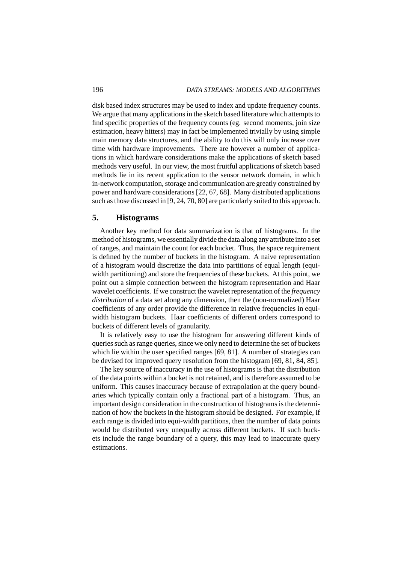disk based index structures may be used to index and update frequency counts. We argue that many applications in the sketch based literature which attempts to find specific properties of the frequency counts (eg. second moments, join size estimation, heavy hitters) may in fact be implemented trivially by using simple main memory data structures, and the ability to do this will only increase over time with hardware improvements. There are however a number of applications in which hardware considerations make the applications of sketch based methods very useful. In our view, the most fruitful applications of sketch based methods lie in its recent application to the sensor network domain, in which in-network computation, storage and communication are greatly constrained by power and hardware considerations [22, 67, 68]. Many distributed applications such as those discussed in [9, 24, 70, 80] are particularly suited to this approach.

## **5. Histograms**

Another key method for data summarization is that of histograms. In the method of histograms, we essentially divide the data along any attribute into a set of ranges, and maintain the count for each bucket. Thus, the space requirement is defined by the number of buckets in the histogram. A naive representation of a histogram would discretize the data into partitions of equal length (equiwidth partitioning) and store the frequencies of these buckets. At this point, we point out a simple connection between the histogram representation and Haar wavelet coefficients. If we construct the wavelet representation of the *frequency distribution* of a data set along any dimension, then the (non-normalized) Haar coefficients of any order provide the difference in relative frequencies in equiwidth histogram buckets. Haar coefficients of different orders correspond to buckets of different levels of granularity.

It is relatively easy to use the histogram for answering different kinds of queries such as range queries, since we only need to determine the set of buckets which lie within the user specified ranges [69, 81]. A number of strategies can be devised for improved query resolution from the histogram [69, 81, 84, 85].

The key source of inaccuracy in the use of histograms is that the distribution of the data points within a bucket is not retained, and is therefore assumed to be uniform. This causes inaccuracy because of extrapolation at the query boundaries which typically contain only a fractional part of a histogram. Thus, an important design consideration in the construction of histograms is the determination of how the buckets in the histogram should be designed. For example, if each range is divided into equi-width partitions, then the number of data points would be distributed very unequally across different buckets. If such buckets include the range boundary of a query, this may lead to inaccurate query estimations.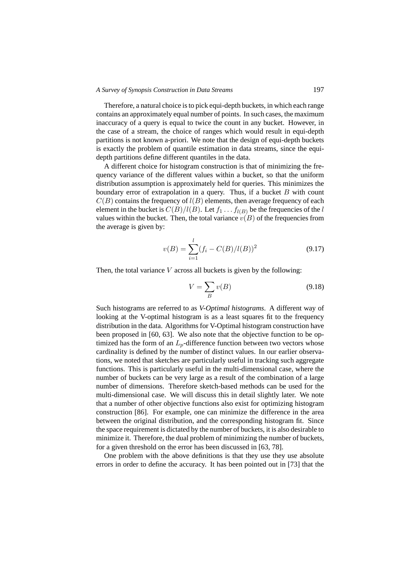Therefore, a natural choice is to pick equi-depth buckets, in which each range contains an approximately equal number of points. In such cases, the maximum inaccuracy of a query is equal to twice the count in any bucket. However, in the case of a stream, the choice of ranges which would result in equi-depth partitions is not known a-priori. We note that the design of equi-depth buckets is exactly the problem of quantile estimation in data streams, since the equidepth partitions define different quantiles in the data.

A different choice for histogram construction is that of minimizing the frequency variance of the different values within a bucket, so that the uniform distribution assumption is approximately held for queries. This minimizes the boundary error of extrapolation in a query. Thus, if a bucket  $B$  with count  $C(B)$  contains the frequency of  $l(B)$  elements, then average frequency of each element in the bucket is  $C(B)/l(B)$ . Let  $f_1 \tcdot \tcdot f_{l(B)}$  be the frequencies of the l values within the bucket. Then, the total variance  $v(B)$  of the frequencies from the average is given by:

$$
v(B) = \sum_{i=1}^{l} (f_i - C(B)/l(B))^2
$$
\n(9.17)

Then, the total variance  $V$  across all buckets is given by the following:

$$
V = \sum_{B} v(B) \tag{9.18}
$$

Such histograms are referred to as *V-Optimal histograms*. A different way of looking at the V-optimal histogram is as a least squares fit to the frequency distribution in the data. Algorithms for V-Optimal histogram construction have been proposed in [60, 63]. We also note that the objective function to be optimized has the form of an  $L_p$ -difference function between two vectors whose cardinality is defined by the number of distinct values. In our earlier observations, we noted that sketches are particularly useful in tracking such aggregate functions. This is particularly useful in the multi-dimensional case, where the number of buckets can be very large as a result of the combination of a large number of dimensions. Therefore sketch-based methods can be used for the multi-dimensional case. We will discuss this in detail slightly later. We note that a number of other objective functions also exist for optimizing histogram construction [86]. For example, one can minimize the difference in the area between the original distribution, and the corresponding histogram fit. Since the space requirement is dictated by the number of buckets, it is also desirable to minimize it. Therefore, the dual problem of minimizing the number of buckets, for a given threshold on the error has been discussed in [63, 78].

One problem with the above definitions is that they use they use absolute errors in order to define the accuracy. It has been pointed out in [73] that the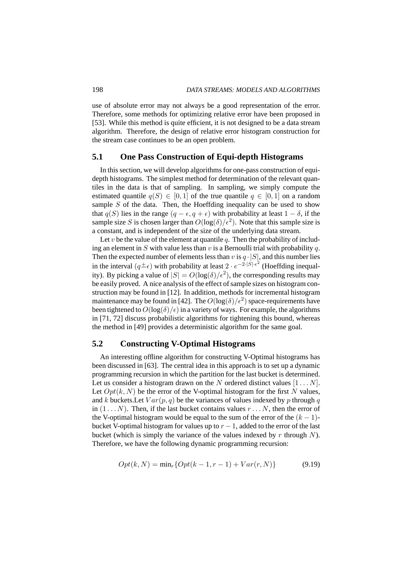use of absolute error may not always be a good representation of the error. Therefore, some methods for optimizing relative error have been proposed in [53]. While this method is quite efficient, it is not designed to be a data stream algorithm. Therefore, the design of relative error histogram construction for the stream case continues to be an open problem.

### **5.1 One Pass Construction of Equi-depth Histograms**

In this section, we will develop algorithms for one-pass construction of equidepth histograms. The simplest method for determination of the relevant quantiles in the data is that of sampling. In sampling, we simply compute the estimated quantile  $q(S) \in [0, 1]$  of the true quantile  $q \in [0, 1]$  on a random sample  $S$  of the data. Then, the Hoeffding inequality can be used to show that  $q(S)$  lies in the range  $(q - \epsilon, q + \epsilon)$  with probability at least  $1 - \delta$ , if the sample size S is chosen larger than  $O(\log(\delta)/\epsilon^2)$ . Note that this sample size is a constant, and is independent of the size of the underlying data stream.

Let v be the value of the element at quantile q. Then the probability of including an element in S with value less than  $v$  is a Bernoulli trial with probability  $q$ . Then the expected number of elements less than  $v$  is  $q \cdot |S|$ , and this number lies in the interval  $(q^{\pm} \epsilon)$  with probability at least  $2 \cdot e^{-2 \cdot |S| \cdot \epsilon^2}$  (Hoeffding inequality). By picking a value of  $|S| = O(\log(\delta)/\epsilon^2)$ , the corresponding results may be easily proved. A nice analysis of the effect of sample sizes on histogram construction may be found in [12]. In addition, methods for incremental histogram maintenance may be found in [42]. The  $O(\log(\delta)/\epsilon^2)$  space-requirements have been tightened to  $O(\log(\delta)/\epsilon)$  in a variety of ways. For example, the algorithms in [71, 72] discuss probabilistic algorithms for tightening this bound, whereas the method in [49] provides a deterministic algorithm for the same goal.

### **5.2 Constructing V-Optimal Histograms**

An interesting offline algorithm for constructing V-Optimal histograms has been discussed in [63]. The central idea in this approach is to set up a dynamic programming recursion in which the partition for the last bucket is determined. Let us consider a histogram drawn on the N ordered distinct values  $[1 \dots N]$ . Let  $Opt(k, N)$  be the error of the V-optimal histogram for the first N values, and k buckets. Let  $Var(p, q)$  be the variances of values indexed by p through q in  $(1 \dots N)$ . Then, if the last bucket contains values  $r \dots N$ , then the error of the V-optimal histogram would be equal to the sum of the error of the  $(k - 1)$ bucket V-optimal histogram for values up to  $r - 1$ , added to the error of the last bucket (which is simply the variance of the values indexed by  $r$  through  $N$ ). Therefore, we have the following dynamic programming recursion:

$$
Opt(k, N) = \min_r \{ Opt(k - 1, r - 1) + Var(r, N) \}
$$
(9.19)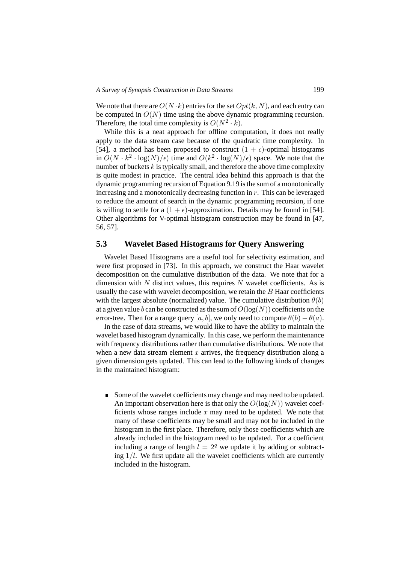We note that there are  $O(N \cdot k)$  entries for the set  $Opt(k, N)$ , and each entry can be computed in  $O(N)$  time using the above dynamic programming recursion. Therefore, the total time complexity is  $O(N^2 \cdot k)$ .

While this is a neat approach for offline computation, it does not really apply to the data stream case because of the quadratic time complexity. In [54], a method has been proposed to construct  $(1 + \epsilon)$ -optimal histograms in  $O(N \cdot k^2 \cdot \log(N)/\epsilon)$  time and  $O(k^2 \cdot \log(N)/\epsilon)$  space. We note that the number of buckets  $k$  is typically small, and therefore the above time complexity is quite modest in practice. The central idea behind this approach is that the dynamic programming recursion of Equation 9.19 is the sum of a monotonically increasing and a monotonically decreasing function in r. This can be leveraged to reduce the amount of search in the dynamic programming recursion, if one is willing to settle for a  $(1 + \epsilon)$ -approximation. Details may be found in [54]. Other algorithms for V-optimal histogram construction may be found in [47, 56, 57].

### **5.3 Wavelet Based Histograms for Query Answering**

Wavelet Based Histograms are a useful tool for selectivity estimation, and were first proposed in [73]. In this approach, we construct the Haar wavelet decomposition on the cumulative distribution of the data. We note that for a dimension with  $N$  distinct values, this requires  $N$  wavelet coefficients. As is usually the case with wavelet decomposition, we retain the  $B$  Haar coefficients with the largest absolute (normalized) value. The cumulative distribution  $\theta(b)$ at a given value b can be constructed as the sum of  $O(log(N))$  coefficients on the error-tree. Then for a range query [a, b], we only need to compute  $\theta(b) - \theta(a)$ .

In the case of data streams, we would like to have the ability to maintain the wavelet based histogram dynamically. In this case, we perform the maintenance with frequency distributions rather than cumulative distributions. We note that when a new data stream element  $x$  arrives, the frequency distribution along a given dimension gets updated. This can lead to the following kinds of changes in the maintained histogram:

Some of the wavelet coefficients may change and may need to be updated. An important observation here is that only the  $O(log(N))$  wavelet coefficients whose ranges include  $x$  may need to be updated. We note that many of these coefficients may be small and may not be included in the histogram in the first place. Therefore, only those coefficients which are already included in the histogram need to be updated. For a coefficient including a range of length  $l = 2<sup>q</sup>$  we update it by adding or subtracting  $1/l$ . We first update all the wavelet coefficients which are currently included in the histogram.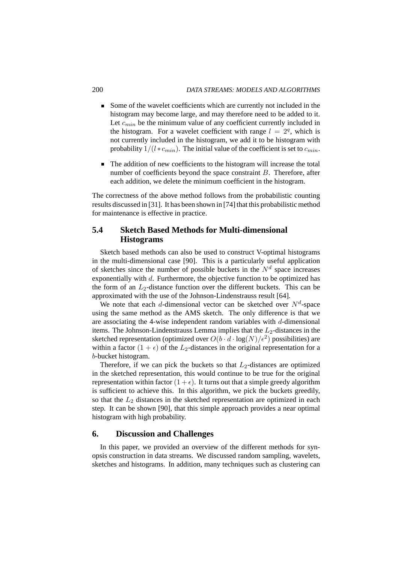- $\blacksquare$ Some of the wavelet coefficients which are currently not included in the histogram may become large, and may therefore need to be added to it. Let  $c_{min}$  be the minimum value of any coefficient currently included in the histogram. For a wavelet coefficient with range  $l = 2<sup>q</sup>$ , which is not currently included in the histogram, we add it to be histogram with probability  $1/(l * c_{min})$ . The initial value of the coefficient is set to  $c_{min}$ .
- The addition of new coefficients to the histogram will increase the total  $\blacksquare$ number of coefficients beyond the space constraint B. Therefore, after each addition, we delete the minimum coefficient in the histogram.

The correctness of the above method follows from the probabilistic counting results discussed in [31]. It has been shown in [74] that this probabilistic method for maintenance is effective in practice.

## **5.4 Sketch Based Methods for Multi-dimensional Histograms**

Sketch based methods can also be used to construct V-optimal histograms in the multi-dimensional case [90]. This is a particularly useful application of sketches since the number of possible buckets in the  $N<sup>d</sup>$  space increases exponentially with d. Furthermore, the objective function to be optimized has the form of an  $L_2$ -distance function over the different buckets. This can be approximated with the use of the Johnson-Lindenstrauss result [64].

We note that each *d*-dimensional vector can be sketched over  $N^d$ -space using the same method as the AMS sketch. The only difference is that we are associating the 4-wise independent random variables with d-dimensional items. The Johnson-Lindenstrauss Lemma implies that the  $L_2$ -distances in the sketched representation (optimized over  $O(b \cdot d \cdot \log(N)/\epsilon^2)$  possibilities) are within a factor  $(1 + \epsilon)$  of the L<sub>2</sub>-distances in the original representation for a b-bucket histogram.

Therefore, if we can pick the buckets so that  $L_2$ -distances are optimized in the sketched representation, this would continue to be true for the original representation within factor  $(1 + \epsilon)$ . It turns out that a simple greedy algorithm is sufficient to achieve this. In this algorithm, we pick the buckets greedily, so that the  $L_2$  distances in the sketched representation are optimized in each step. It can be shown [90], that this simple approach provides a near optimal histogram with high probability.

#### **6. Discussion and Challenges**

In this paper, we provided an overview of the different methods for synopsis construction in data streams. We discussed random sampling, wavelets, sketches and histograms. In addition, many techniques such as clustering can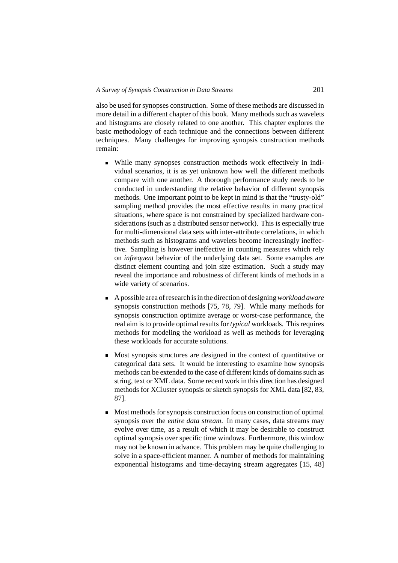also be used for synopses construction. Some of these methods are discussed in more detail in a different chapter of this book. Many methods such as wavelets and histograms are closely related to one another. This chapter explores the basic methodology of each technique and the connections between different techniques. Many challenges for improving synopsis construction methods remain:

- While many synopses construction methods work effectively in individual scenarios, it is as yet unknown how well the different methods compare with one another. A thorough performance study needs to be conducted in understanding the relative behavior of different synopsis methods. One important point to be kept in mind is that the "trusty-old" sampling method provides the most effective results in many practical situations, where space is not constrained by specialized hardware considerations (such as a distributed sensor network). This is especially true for multi-dimensional data sets with inter-attribute correlations, in which methods such as histograms and wavelets become increasingly ineffective. Sampling is however ineffective in counting measures which rely on *infrequent* behavior of the underlying data set. Some examples are distinct element counting and join size estimation. Such a study may reveal the importance and robustness of different kinds of methods in a wide variety of scenarios.
- A possible area of research is in the direction of designing*workload aware* synopsis construction methods [75, 78, 79]. While many methods for synopsis construction optimize average or worst-case performance, the real aim is to provide optimal results for *typical* workloads. This requires methods for modeling the workload as well as methods for leveraging these workloads for accurate solutions.
- Most synopsis structures are designed in the context of quantitative or categorical data sets. It would be interesting to examine how synopsis methods can be extended to the case of different kinds of domains such as string, text or XML data. Some recent work in this direction has designed methods for XCluster synopsis or sketch synopsis for XML data [82, 83, 87].
- Most methods for synopsis construction focus on construction of optimal synopsis over the *entire data stream*. In many cases, data streams may evolve over time, as a result of which it may be desirable to construct optimal synopsis over specific time windows. Furthermore, this window may not be known in advance. This problem may be quite challenging to solve in a space-efficient manner. A number of methods for maintaining exponential histograms and time-decaying stream aggregates [15, 48]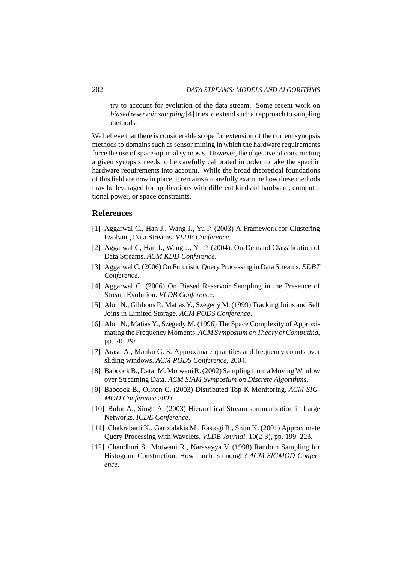try to account for evolution of the data stream. Some recent work on *biased reservoir sampling* [4] tries to extend such an approach to sampling methods.

We believe that there is considerable scope for extension of the current synopsis methods to domains such as sensor mining in which the hardware requirements force the use of space-optimal synopsis. However, the objective of constructing a given synopsis needs to be carefully calibrated in order to take the specific hardware requirements into account. While the broad theoretical foundations of this field are now in place, it remains to carefully examine how these methods may be leveraged for applications with different kinds of hardware, computational power, or space constraints.

#### **References**

- [1] Aggarwal C., Han J., Wang J., Yu P. (2003) A Framework for Clustering Evolving Data Streams. *VLDB Conference*.
- [2] Aggarwal C, Han J., Wang J., Yu P. (2004). On-Demand Classification of Data Streams. *ACM KDD Conference*.
- [3] Aggarwal C. (2006) On Futuristic Query Processing in Data Streams. *EDBT Conference*.
- [4] Aggarwal C. (2006) On Biased Reservoir Sampling in the Presence of Stream Evolution. *VLDB Conference*.
- [5] Alon N., Gibbons P., Matias Y., Szegedy M. (1999) Tracking Joins and Self Joins in Limited Storage. *ACM PODS Conference*.
- [6] Alon N., Matias Y., Szegedy M. (1996) The Space Complexity of Approximating the Frequency Moments. *ACM Symposium on Theory of Computing*, pp. 20–29/
- [7] Arasu A., Manku G. S. Approximate quantiles and frequency counts over sliding windows. *ACM PODS Conference*, 2004.
- [8] Babcock B., Datar M. Motwani R. (2002) Sampling from a Moving Window over Streaming Data. *ACM SIAM Symposium on Discrete Algorithms*.
- [9] Babcock B., Olston C. (2003) Distributed Top-K Monitoring. *ACM SIG-MOD Conference 2003*.
- [10] Bulut A., Singh A. (2003) Hierarchical Stream summarization in Large Networks. *ICDE Conference*.
- [11] Chakrabarti K., Garofalakis M., Rastogi R., Shim K. (2001) Approximate Query Processing with Wavelets. *VLDB Journal*, 10(2-3), pp. 199–223.
- [12] Chaudhuri S., Motwani R., Narasayya V. (1998) Random Sampling for Histogram Construction: How much is enough? *ACM SIGMOD Conference*.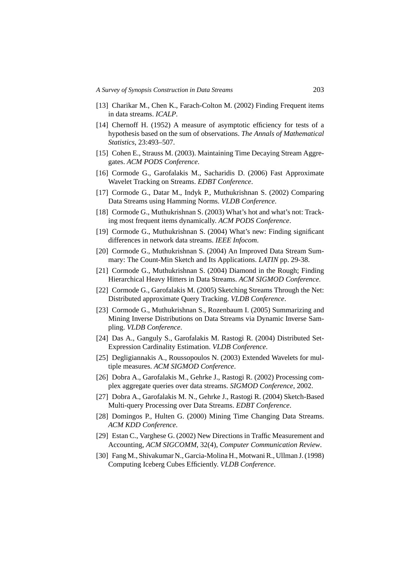- [13] Charikar M., Chen K., Farach-Colton M. (2002) Finding Frequent items in data streams. *ICALP*.
- [14] Chernoff H. (1952) A measure of asymptotic efficiency for tests of a hypothesis based on the sum of observations. *The Annals of Mathematical Statistics*, 23:493–507.
- [15] Cohen E., Strauss M. (2003). Maintaining Time Decaying Stream Aggregates. *ACM PODS Conference*.
- [16] Cormode G., Garofalakis M., Sacharidis D. (2006) Fast Approximate Wavelet Tracking on Streams. *EDBT Conference*.
- [17] Cormode G., Datar M., Indyk P., Muthukrishnan S. (2002) Comparing Data Streams using Hamming Norms. *VLDB Conference*.
- [18] Cormode G., Muthukrishnan S. (2003) What's hot and what's not: Tracking most frequent items dynamically. *ACM PODS Conference*.
- [19] Cormode G., Muthukrishnan S. (2004) What's new: Finding significant differences in network data streams. *IEEE Infocom*.
- [20] Cormode G., Muthukrishnan S. (2004) An Improved Data Stream Summary: The Count-Min Sketch and Its Applications. *LATIN* pp. 29-38.
- [21] Cormode G., Muthukrishnan S. (2004) Diamond in the Rough; Finding Hierarchical Heavy Hitters in Data Streams. *ACM SIGMOD Conference*.
- [22] Cormode G., Garofalakis M. (2005) Sketching Streams Through the Net: Distributed approximate Query Tracking. *VLDB Conference*.
- [23] Cormode G., Muthukrishnan S., Rozenbaum I. (2005) Summarizing and Mining Inverse Distributions on Data Streams via Dynamic Inverse Sampling. *VLDB Conference*.
- [24] Das A., Ganguly S., Garofalakis M. Rastogi R. (2004) Distributed Set-Expression Cardinality Estimation. *VLDB Conference*.
- [25] Degligiannakis A., Roussopoulos N. (2003) Extended Wavelets for multiple measures. *ACM SIGMOD Conference*.
- [26] Dobra A., Garofalakis M., Gehrke J., Rastogi R. (2002) Processing complex aggregate queries over data streams. *SIGMOD Conference*, 2002.
- [27] Dobra A., Garofalakis M. N., Gehrke J., Rastogi R. (2004) Sketch-Based Multi-query Processing over Data Streams. *EDBT Conference*.
- [28] Domingos P., Hulten G. (2000) Mining Time Changing Data Streams. *ACM KDD Conference*.
- [29] Estan C., Varghese G. (2002) New Directions in Traffic Measurement and Accounting, *ACM SIGCOMM*, 32(4), *Computer Communication Review*.
- [30] Fang M., Shivakumar N., Garcia-Molina H., Motwani R., Ullman J. (1998) Computing Iceberg Cubes Efficiently. *VLDB Conference*.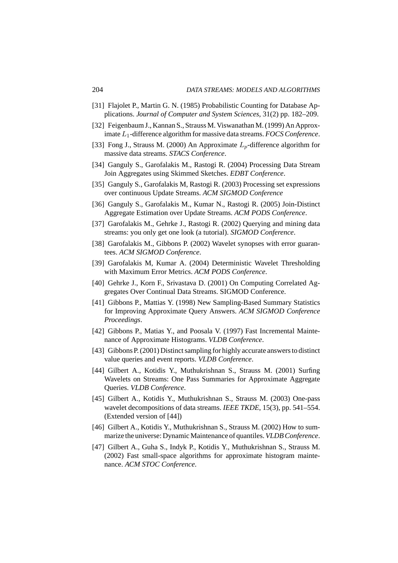- [31] Flajolet P., Martin G. N. (1985) Probabilistic Counting for Database Applications. *Journal of Computer and System Sciences*, 31(2) pp. 182–209.
- [32] Feigenbaum J., Kannan S., Strauss M. Viswanathan M. (1999) An ApproximateL1-difference algorithm for massive data streams. *FOCS Conference*.
- [33] Fong J., Strauss M. (2000) An Approximate  $L_p$ -difference algorithm for massive data streams. *STACS Conference*.
- [34] Ganguly S., Garofalakis M., Rastogi R. (2004) Processing Data Stream Join Aggregates using Skimmed Sketches. *EDBT Conference*.
- [35] Ganguly S., Garofalakis M, Rastogi R. (2003) Processing set expressions over continuous Update Streams. *ACM SIGMOD Conference*
- [36] Ganguly S., Garofalakis M., Kumar N., Rastogi R. (2005) Join-Distinct Aggregate Estimation over Update Streams. *ACM PODS Conference*.
- [37] Garofalakis M., Gehrke J., Rastogi R. (2002) Querying and mining data streams: you only get one look (a tutorial). *SIGMOD Conference*.
- [38] Garofalakis M., Gibbons P. (2002) Wavelet synopses with error guarantees. *ACM SIGMOD Conference*.
- [39] Garofalakis M, Kumar A. (2004) Deterministic Wavelet Thresholding with Maximum Error Metrics. *ACM PODS Conference*.
- [40] Gehrke J., Korn F., Srivastava D. (2001) On Computing Correlated Aggregates Over Continual Data Streams. SIGMOD Conference.
- [41] Gibbons P., Mattias Y. (1998) New Sampling-Based Summary Statistics for Improving Approximate Query Answers. *ACM SIGMOD Conference Proceedings*.
- [42] Gibbons P., Matias Y., and Poosala V. (1997) Fast Incremental Maintenance of Approximate Histograms. *VLDB Conference*.
- [43] Gibbons P. (2001) Distinct sampling for highly accurate answers to distinct value queries and event reports. *VLDB Conference*.
- [44] Gilbert A., Kotidis Y., Muthukrishnan S., Strauss M. (2001) Surfing Wavelets on Streams: One Pass Summaries for Approximate Aggregate Queries. *VLDB Conference*.
- [45] Gilbert A., Kotidis Y., Muthukrishnan S., Strauss M. (2003) One-pass wavelet decompositions of data streams. *IEEE TKDE*, 15(3), pp. 541–554. (Extended version of [44])
- [46] Gilbert A., Kotidis Y., Muthukrishnan S., Strauss M. (2002) How to summarize the universe: Dynamic Maintenance of quantiles.*VLDB Conference*.
- [47] Gilbert A., Guha S., Indyk P., Kotidis Y., Muthukrishnan S., Strauss M. (2002) Fast small-space algorithms for approximate histogram maintenance. *ACM STOC Conference*.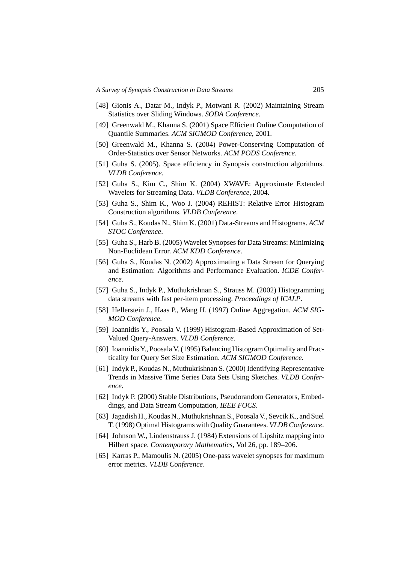- [48] Gionis A., Datar M., Indyk P., Motwani R. (2002) Maintaining Stream Statistics over Sliding Windows. *SODA Conference*.
- [49] Greenwald M., Khanna S. (2001) Space Efficient Online Computation of Quantile Summaries. *ACM SIGMOD Conference*, 2001.
- [50] Greenwald M., Khanna S. (2004) Power-Conserving Computation of Order-Statistics over Sensor Networks. *ACM PODS Conference*.
- [51] Guha S. (2005). Space efficiency in Synopsis construction algorithms. *VLDB Conference*.
- [52] Guha S., Kim C., Shim K. (2004) XWAVE: Approximate Extended Wavelets for Streaming Data. *VLDB Conference*, 2004.
- [53] Guha S., Shim K., Woo J. (2004) REHIST: Relative Error Histogram Construction algorithms. *VLDB Conference*.
- [54] Guha S., Koudas N., Shim K. (2001) Data-Streams and Histograms. *ACM STOC Conference*.
- [55] Guha S., Harb B. (2005) Wavelet Synopses for Data Streams: Minimizing Non-Euclidean Error. *ACM KDD Conference*.
- [56] Guha S., Koudas N. (2002) Approximating a Data Stream for Querying and Estimation: Algorithms and Performance Evaluation. *ICDE Conference*.
- [57] Guha S., Indyk P., Muthukrishnan S., Strauss M. (2002) Histogramming data streams with fast per-item processing. *Proceedings of ICALP*.
- [58] Hellerstein J., Haas P., Wang H. (1997) Online Aggregation. *ACM SIG-MOD Conference*.
- [59] Ioannidis Y., Poosala V. (1999) Histogram-Based Approximation of Set-Valued Query-Answers. *VLDB Conference*.
- [60] Ioannidis Y., Poosala V. (1995) Balancing Histogram Optimality and Practicality for Query Set Size Estimation. *ACM SIGMOD Conference*.
- [61] Indyk P., Koudas N., Muthukrishnan S. (2000) Identifying Representative Trends in Massive Time Series Data Sets Using Sketches. *VLDB Conference*.
- [62] Indyk P. (2000) Stable Distributions, Pseudorandom Generators, Embeddings, and Data Stream Computation, *IEEE FOCS*.
- [63] Jagadish H., Koudas N., Muthukrishnan S., Poosala V., Sevcik K., and Suel T. (1998) Optimal Histograms with Quality Guarantees. *VLDB Conference*.
- [64] Johnson W., Lindenstrauss J. (1984) Extensions of Lipshitz mapping into Hilbert space. *Contemporary Mathematics*, Vol 26, pp. 189–206.
- [65] Karras P., Mamoulis N. (2005) One-pass wavelet synopses for maximum error metrics. *VLDB Conference*.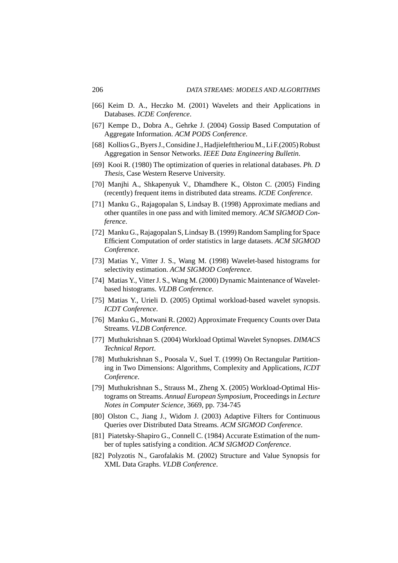- [66] Keim D. A., Heczko M. (2001) Wavelets and their Applications in Databases. *ICDE Conference*.
- [67] Kempe D., Dobra A., Gehrke J. (2004) Gossip Based Computation of Aggregate Information. *ACM PODS Conference*.
- [68] Kollios G., Byers J., Considine J., Hadjielefttheriou M., Li F.(2005) Robust Aggregation in Sensor Networks. *IEEE Data Engineering Bulletin*.
- [69] Kooi R. (1980) The optimization of queries in relational databases. *Ph. D Thesis*, Case Western Reserve University.
- [70] Manjhi A., Shkapenyuk V., Dhamdhere K., Olston C. (2005) Finding (recently) frequent items in distributed data streams. *ICDE Conference*.
- [71] Manku G., Rajagopalan S, Lindsay B. (1998) Approximate medians and other quantiles in one pass and with limited memory. *ACM SIGMOD Conference*.
- [72] Manku G., Rajagopalan S, Lindsay B. (1999) Random Sampling for Space Efficient Computation of order statistics in large datasets. *ACM SIGMOD Conference*.
- [73] Matias Y., Vitter J. S., Wang M. (1998) Wavelet-based histograms for selectivity estimation. *ACM SIGMOD Conference*.
- [74] Matias Y., Vitter J. S., Wang M. (2000) Dynamic Maintenance of Waveletbased histograms. *VLDB Conference*.
- [75] Matias Y., Urieli D. (2005) Optimal workload-based wavelet synopsis. *ICDT Conference*.
- [76] Manku G., Motwani R. (2002) Approximate Frequency Counts over Data Streams. *VLDB Conference*.
- [77] Muthukrishnan S. (2004) Workload Optimal Wavelet Synopses. *DIMACS Technical Report*.
- [78] Muthukrishnan S., Poosala V., Suel T. (1999) On Rectangular Partitioning in Two Dimensions: Algorithms, Complexity and Applications, *ICDT Conference*.
- [79] Muthukrishnan S., Strauss M., Zheng X. (2005) Workload-Optimal Histograms on Streams. *Annual European Symposium*, Proceedings in *Lecture Notes in Computer Science*, 3669, pp. 734-745
- [80] Olston C., Jiang J., Widom J. (2003) Adaptive Filters for Continuous Queries over Distributed Data Streams. *ACM SIGMOD Conference*.
- [81] Piatetsky-Shapiro G., Connell C. (1984) Accurate Estimation of the number of tuples satisfying a condition. *ACM SIGMOD Conference*.
- [82] Polyzotis N., Garofalakis M. (2002) Structure and Value Synopsis for XML Data Graphs. *VLDB Conference*.